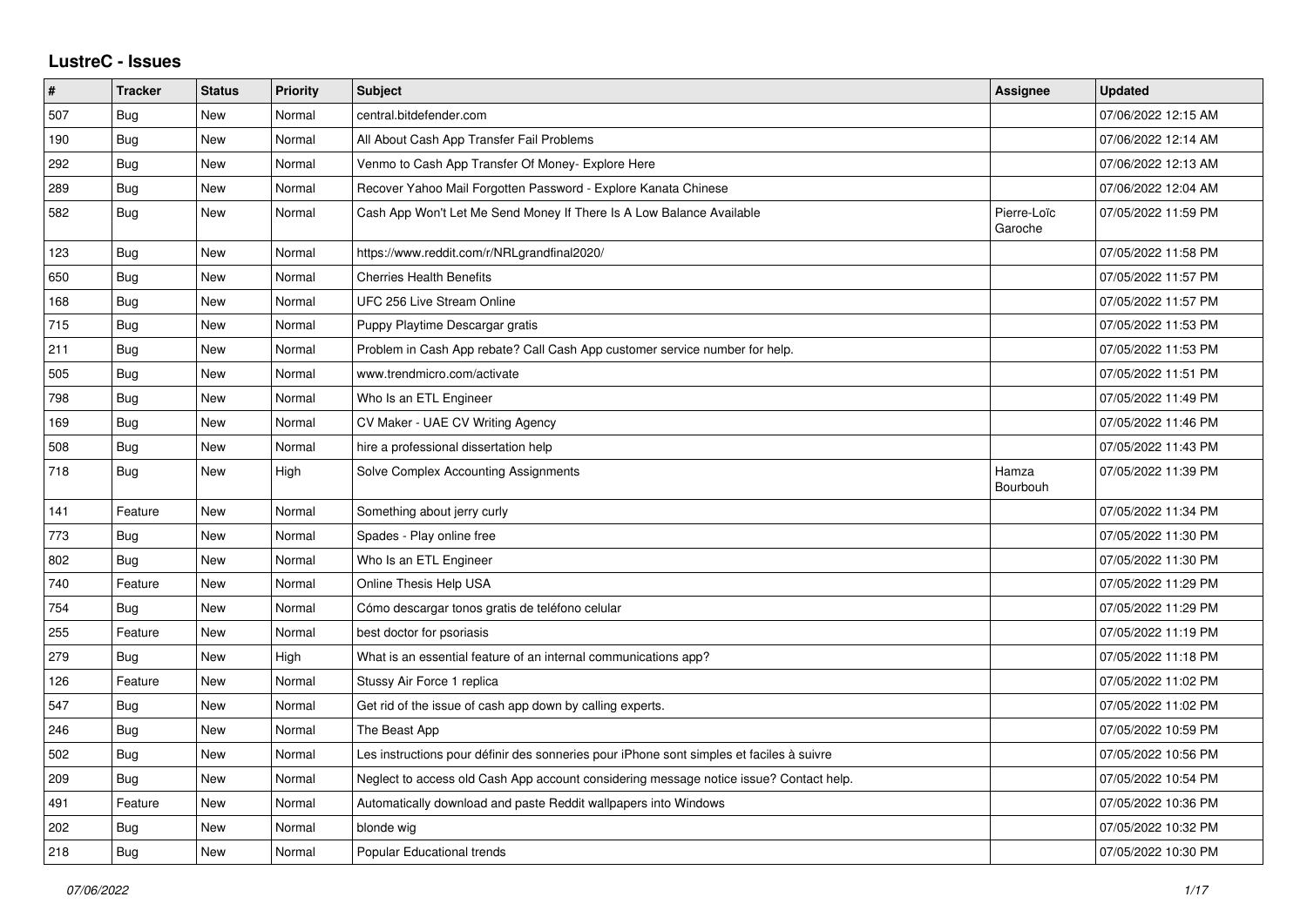## **LustreC - Issues**

| $\pmb{\#}$ | <b>Tracker</b> | <b>Status</b> | <b>Priority</b> | <b>Subject</b>                                                                           | <b>Assignee</b>        | <b>Updated</b>      |
|------------|----------------|---------------|-----------------|------------------------------------------------------------------------------------------|------------------------|---------------------|
| 507        | <b>Bug</b>     | New           | Normal          | central.bitdefender.com                                                                  |                        | 07/06/2022 12:15 AM |
| 190        | <b>Bug</b>     | <b>New</b>    | Normal          | All About Cash App Transfer Fail Problems                                                |                        | 07/06/2022 12:14 AM |
| 292        | Bug            | <b>New</b>    | Normal          | Venmo to Cash App Transfer Of Money- Explore Here                                        |                        | 07/06/2022 12:13 AM |
| 289        | <b>Bug</b>     | New           | Normal          | Recover Yahoo Mail Forgotten Password - Explore Kanata Chinese                           |                        | 07/06/2022 12:04 AM |
| 582        | Bug            | New           | Normal          | Cash App Won't Let Me Send Money If There Is A Low Balance Available                     | Pierre-Loïc<br>Garoche | 07/05/2022 11:59 PM |
| 123        | Bug            | <b>New</b>    | Normal          | https://www.reddit.com/r/NRLgrandfinal2020/                                              |                        | 07/05/2022 11:58 PM |
| 650        | Bug            | <b>New</b>    | Normal          | <b>Cherries Health Benefits</b>                                                          |                        | 07/05/2022 11:57 PM |
| 168        | Bug            | New           | Normal          | UFC 256 Live Stream Online                                                               |                        | 07/05/2022 11:57 PM |
| 715        | Bug            | <b>New</b>    | Normal          | Puppy Playtime Descargar gratis                                                          |                        | 07/05/2022 11:53 PM |
| 211        | <b>Bug</b>     | <b>New</b>    | Normal          | Problem in Cash App rebate? Call Cash App customer service number for help.              |                        | 07/05/2022 11:53 PM |
| 505        | Bug            | New           | Normal          | www.trendmicro.com/activate                                                              |                        | 07/05/2022 11:51 PM |
| 798        | <b>Bug</b>     | <b>New</b>    | Normal          | Who Is an ETL Engineer                                                                   |                        | 07/05/2022 11:49 PM |
| 169        | <b>Bug</b>     | <b>New</b>    | Normal          | CV Maker - UAE CV Writing Agency                                                         |                        | 07/05/2022 11:46 PM |
| 508        | Bug            | <b>New</b>    | Normal          | hire a professional dissertation help                                                    |                        | 07/05/2022 11:43 PM |
| 718        | <b>Bug</b>     | New           | High            | Solve Complex Accounting Assignments                                                     | Hamza<br>Bourbouh      | 07/05/2022 11:39 PM |
| 141        | Feature        | <b>New</b>    | Normal          | Something about jerry curly                                                              |                        | 07/05/2022 11:34 PM |
| 773        | <b>Bug</b>     | <b>New</b>    | Normal          | Spades - Play online free                                                                |                        | 07/05/2022 11:30 PM |
| 802        | Bug            | <b>New</b>    | Normal          | Who Is an ETL Engineer                                                                   |                        | 07/05/2022 11:30 PM |
| 740        | Feature        | <b>New</b>    | Normal          | Online Thesis Help USA                                                                   |                        | 07/05/2022 11:29 PM |
| 754        | Bug            | <b>New</b>    | Normal          | Cómo descargar tonos gratis de teléfono celular                                          |                        | 07/05/2022 11:29 PM |
| 255        | Feature        | New           | Normal          | best doctor for psoriasis                                                                |                        | 07/05/2022 11:19 PM |
| 279        | <b>Bug</b>     | New           | High            | What is an essential feature of an internal communications app?                          |                        | 07/05/2022 11:18 PM |
| 126        | Feature        | <b>New</b>    | Normal          | Stussy Air Force 1 replica                                                               |                        | 07/05/2022 11:02 PM |
| 547        | Bug            | <b>New</b>    | Normal          | Get rid of the issue of cash app down by calling experts.                                |                        | 07/05/2022 11:02 PM |
| 246        | <b>Bug</b>     | New           | Normal          | The Beast App                                                                            |                        | 07/05/2022 10:59 PM |
| 502        | Bug            | <b>New</b>    | Normal          | Les instructions pour définir des sonneries pour iPhone sont simples et faciles à suivre |                        | 07/05/2022 10:56 PM |
| 209        | Bug            | <b>New</b>    | Normal          | Neglect to access old Cash App account considering message notice issue? Contact help.   |                        | 07/05/2022 10:54 PM |
| 491        | Feature        | New           | Normal          | Automatically download and paste Reddit wallpapers into Windows                          |                        | 07/05/2022 10:36 PM |
| 202        | Bug            | <b>New</b>    | Normal          | blonde wig                                                                               |                        | 07/05/2022 10:32 PM |
| 218        | Bug            | <b>New</b>    | Normal          | Popular Educational trends                                                               |                        | 07/05/2022 10:30 PM |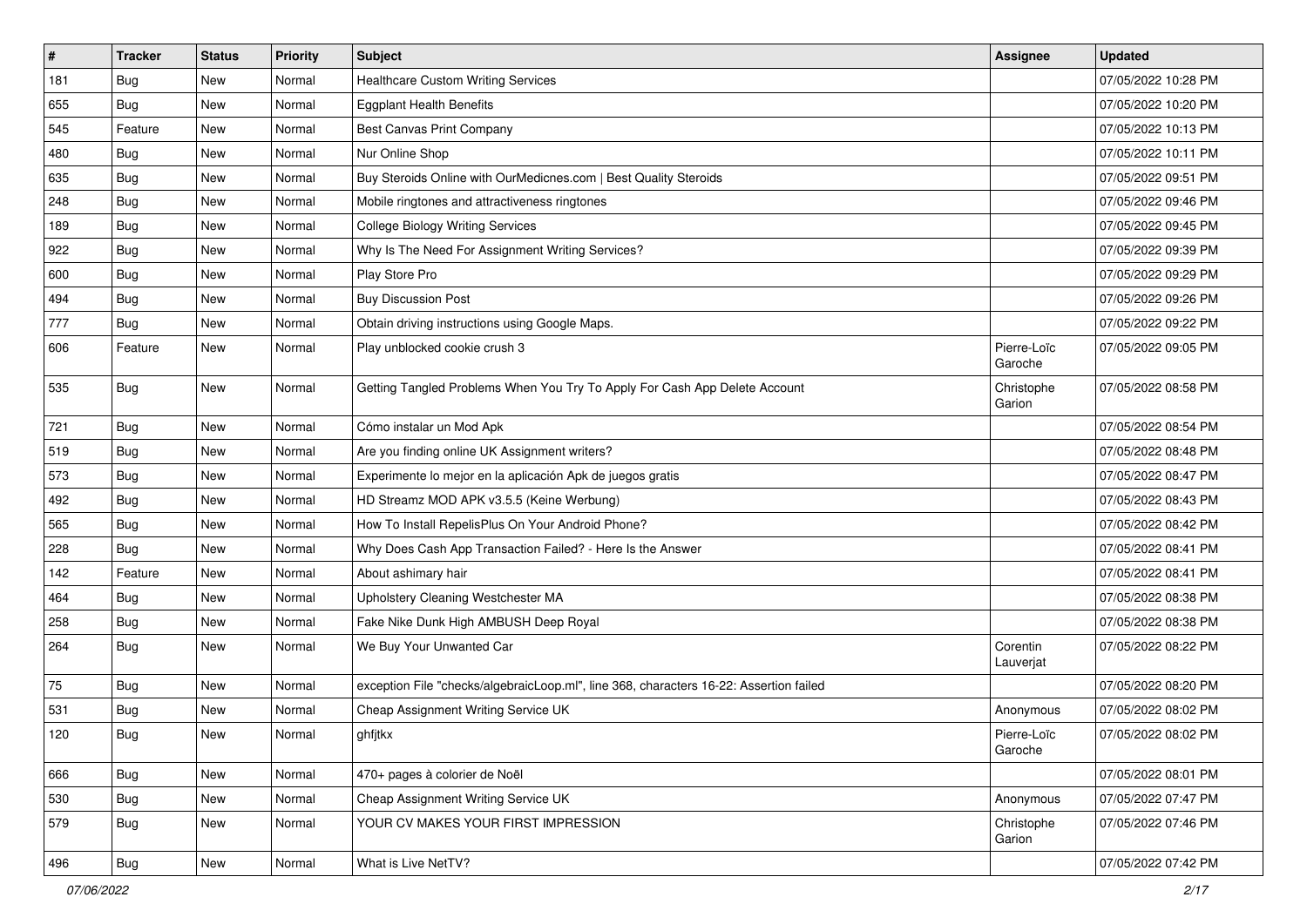| $\sharp$ | <b>Tracker</b> | <b>Status</b> | <b>Priority</b> | <b>Subject</b>                                                                         | <b>Assignee</b>        | <b>Updated</b>      |
|----------|----------------|---------------|-----------------|----------------------------------------------------------------------------------------|------------------------|---------------------|
| 181      | <b>Bug</b>     | New           | Normal          | <b>Healthcare Custom Writing Services</b>                                              |                        | 07/05/2022 10:28 PM |
| 655      | <b>Bug</b>     | New           | Normal          | <b>Eggplant Health Benefits</b>                                                        |                        | 07/05/2022 10:20 PM |
| 545      | Feature        | New           | Normal          | Best Canvas Print Company                                                              |                        | 07/05/2022 10:13 PM |
| 480      | <b>Bug</b>     | New           | Normal          | Nur Online Shop                                                                        |                        | 07/05/2022 10:11 PM |
| 635      | Bug            | New           | Normal          | Buy Steroids Online with OurMedicnes.com   Best Quality Steroids                       |                        | 07/05/2022 09:51 PM |
| 248      | <b>Bug</b>     | New           | Normal          | Mobile ringtones and attractiveness ringtones                                          |                        | 07/05/2022 09:46 PM |
| 189      | Bug            | New           | Normal          | <b>College Biology Writing Services</b>                                                |                        | 07/05/2022 09:45 PM |
| 922      | <b>Bug</b>     | New           | Normal          | Why Is The Need For Assignment Writing Services?                                       |                        | 07/05/2022 09:39 PM |
| 600      | <b>Bug</b>     | New           | Normal          | Play Store Pro                                                                         |                        | 07/05/2022 09:29 PM |
| 494      | Bug            | <b>New</b>    | Normal          | <b>Buy Discussion Post</b>                                                             |                        | 07/05/2022 09:26 PM |
| 777      | <b>Bug</b>     | New           | Normal          | Obtain driving instructions using Google Maps.                                         |                        | 07/05/2022 09:22 PM |
| 606      | Feature        | New           | Normal          | Play unblocked cookie crush 3                                                          | Pierre-Loïc<br>Garoche | 07/05/2022 09:05 PM |
| 535      | <b>Bug</b>     | New           | Normal          | Getting Tangled Problems When You Try To Apply For Cash App Delete Account             | Christophe<br>Garion   | 07/05/2022 08:58 PM |
| 721      | Bug            | New           | Normal          | Cómo instalar un Mod Apk                                                               |                        | 07/05/2022 08:54 PM |
| 519      | <b>Bug</b>     | New           | Normal          | Are you finding online UK Assignment writers?                                          |                        | 07/05/2022 08:48 PM |
| 573      | <b>Bug</b>     | New           | Normal          | Experimente lo mejor en la aplicación Apk de juegos gratis                             |                        | 07/05/2022 08:47 PM |
| 492      | <b>Bug</b>     | New           | Normal          | HD Streamz MOD APK v3.5.5 (Keine Werbung)                                              |                        | 07/05/2022 08:43 PM |
| 565      | <b>Bug</b>     | New           | Normal          | How To Install RepelisPlus On Your Android Phone?                                      |                        | 07/05/2022 08:42 PM |
| 228      | <b>Bug</b>     | New           | Normal          | Why Does Cash App Transaction Failed? - Here Is the Answer                             |                        | 07/05/2022 08:41 PM |
| 142      | Feature        | New           | Normal          | About ashimary hair                                                                    |                        | 07/05/2022 08:41 PM |
| 464      | <b>Bug</b>     | <b>New</b>    | Normal          | Upholstery Cleaning Westchester MA                                                     |                        | 07/05/2022 08:38 PM |
| 258      | <b>Bug</b>     | New           | Normal          | Fake Nike Dunk High AMBUSH Deep Royal                                                  |                        | 07/05/2022 08:38 PM |
| 264      | <b>Bug</b>     | New           | Normal          | We Buy Your Unwanted Car                                                               | Corentin<br>Lauverjat  | 07/05/2022 08:22 PM |
| 75       | <b>Bug</b>     | New           | Normal          | exception File "checks/algebraicLoop.ml", line 368, characters 16-22: Assertion failed |                        | 07/05/2022 08:20 PM |
| 531      | <b>Bug</b>     | New           | Normal          | Cheap Assignment Writing Service UK                                                    | Anonymous              | 07/05/2022 08:02 PM |
| 120      | <b>Bug</b>     | New           | Normal          | ghfjtkx                                                                                | Pierre-Loïc<br>Garoche | 07/05/2022 08:02 PM |
| 666      | <b>Bug</b>     | New           | Normal          | 470+ pages à colorier de Noël                                                          |                        | 07/05/2022 08:01 PM |
| 530      | <b>Bug</b>     | New           | Normal          | Cheap Assignment Writing Service UK                                                    | Anonymous              | 07/05/2022 07:47 PM |
| 579      | <b>Bug</b>     | New           | Normal          | YOUR CV MAKES YOUR FIRST IMPRESSION                                                    | Christophe<br>Garion   | 07/05/2022 07:46 PM |
| 496      | <b>Bug</b>     | New           | Normal          | What is Live NetTV?                                                                    |                        | 07/05/2022 07:42 PM |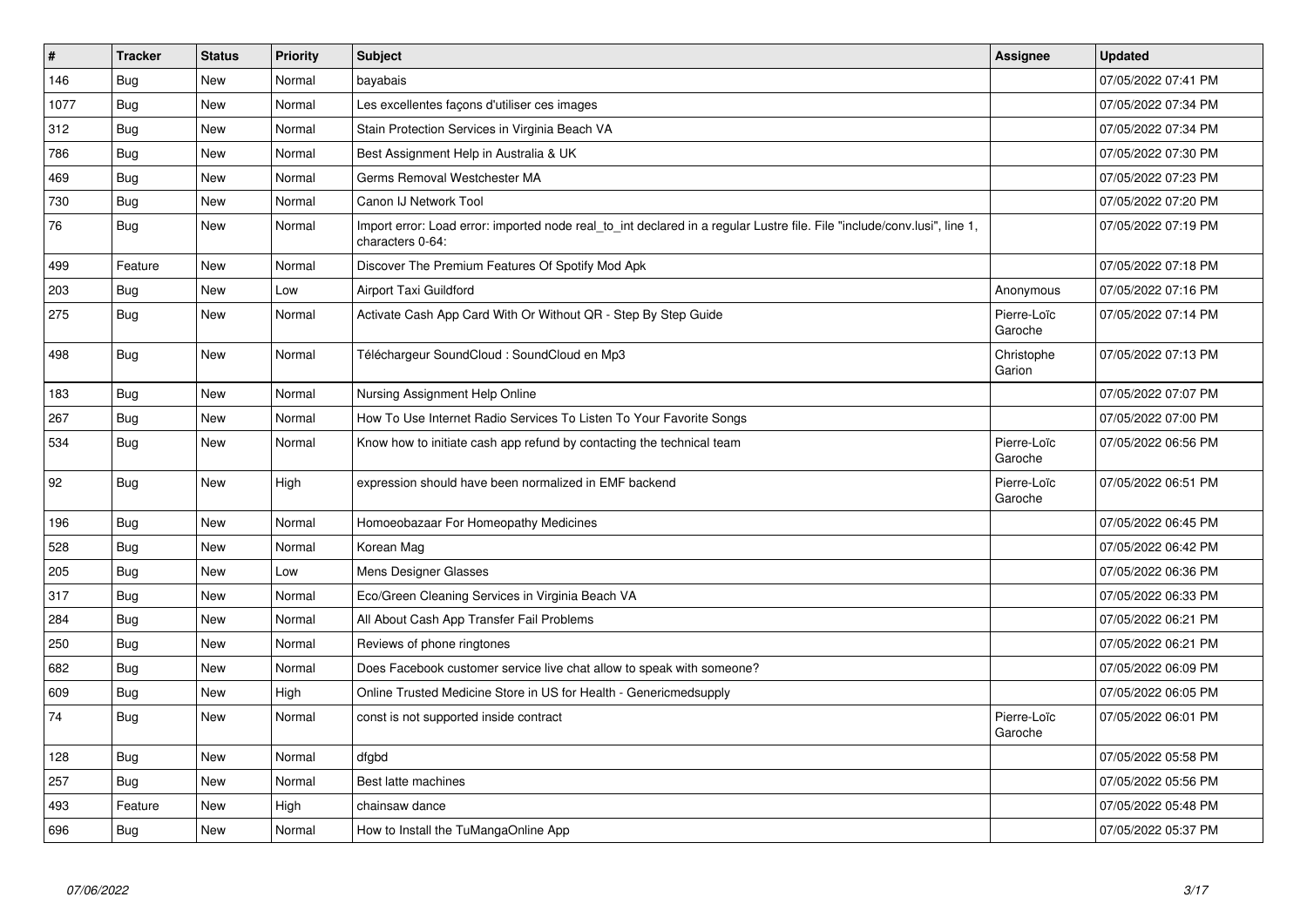| $\vert$ # | <b>Tracker</b> | <b>Status</b> | <b>Priority</b> | <b>Subject</b>                                                                                                                               | Assignee               | <b>Updated</b>      |
|-----------|----------------|---------------|-----------------|----------------------------------------------------------------------------------------------------------------------------------------------|------------------------|---------------------|
| 146       | Bug            | New           | Normal          | bayabais                                                                                                                                     |                        | 07/05/2022 07:41 PM |
| 1077      | Bug            | New           | Normal          | Les excellentes façons d'utiliser ces images                                                                                                 |                        | 07/05/2022 07:34 PM |
| 312       | <b>Bug</b>     | New           | Normal          | Stain Protection Services in Virginia Beach VA                                                                                               |                        | 07/05/2022 07:34 PM |
| 786       | Bug            | New           | Normal          | Best Assignment Help in Australia & UK                                                                                                       |                        | 07/05/2022 07:30 PM |
| 469       | Bug            | New           | Normal          | Germs Removal Westchester MA                                                                                                                 |                        | 07/05/2022 07:23 PM |
| 730       | <b>Bug</b>     | New           | Normal          | Canon IJ Network Tool                                                                                                                        |                        | 07/05/2022 07:20 PM |
| 76        | <b>Bug</b>     | New           | Normal          | Import error: Load error: imported node real_to_int declared in a regular Lustre file. File "include/conv.lusi", line 1,<br>characters 0-64: |                        | 07/05/2022 07:19 PM |
| 499       | Feature        | New           | Normal          | Discover The Premium Features Of Spotify Mod Apk                                                                                             |                        | 07/05/2022 07:18 PM |
| 203       | <b>Bug</b>     | New           | Low             | <b>Airport Taxi Guildford</b>                                                                                                                | Anonymous              | 07/05/2022 07:16 PM |
| 275       | <b>Bug</b>     | New           | Normal          | Activate Cash App Card With Or Without QR - Step By Step Guide                                                                               | Pierre-Loïc<br>Garoche | 07/05/2022 07:14 PM |
| 498       | <b>Bug</b>     | New           | Normal          | Téléchargeur SoundCloud : SoundCloud en Mp3                                                                                                  | Christophe<br>Garion   | 07/05/2022 07:13 PM |
| 183       | Bug            | New           | Normal          | Nursing Assignment Help Online                                                                                                               |                        | 07/05/2022 07:07 PM |
| 267       | <b>Bug</b>     | New           | Normal          | How To Use Internet Radio Services To Listen To Your Favorite Songs                                                                          |                        | 07/05/2022 07:00 PM |
| 534       | <b>Bug</b>     | New           | Normal          | Know how to initiate cash app refund by contacting the technical team                                                                        | Pierre-Loïc<br>Garoche | 07/05/2022 06:56 PM |
| 92        | Bug            | New           | High            | expression should have been normalized in EMF backend                                                                                        | Pierre-Loïc<br>Garoche | 07/05/2022 06:51 PM |
| 196       | <b>Bug</b>     | New           | Normal          | Homoeobazaar For Homeopathy Medicines                                                                                                        |                        | 07/05/2022 06:45 PM |
| 528       | <b>Bug</b>     | New           | Normal          | Korean Mag                                                                                                                                   |                        | 07/05/2022 06:42 PM |
| 205       | <b>Bug</b>     | New           | Low             | Mens Designer Glasses                                                                                                                        |                        | 07/05/2022 06:36 PM |
| 317       | Bug            | New           | Normal          | Eco/Green Cleaning Services in Virginia Beach VA                                                                                             |                        | 07/05/2022 06:33 PM |
| 284       | <b>Bug</b>     | New           | Normal          | All About Cash App Transfer Fail Problems                                                                                                    |                        | 07/05/2022 06:21 PM |
| 250       | Bug            | New           | Normal          | Reviews of phone ringtones                                                                                                                   |                        | 07/05/2022 06:21 PM |
| 682       | Bug            | <b>New</b>    | Normal          | Does Facebook customer service live chat allow to speak with someone?                                                                        |                        | 07/05/2022 06:09 PM |
| 609       | Bug            | New           | High            | Online Trusted Medicine Store in US for Health - Genericmedsupply                                                                            |                        | 07/05/2022 06:05 PM |
| 74        | <b>Bug</b>     | New           | Normal          | const is not supported inside contract                                                                                                       | Pierre-Loïc<br>Garoche | 07/05/2022 06:01 PM |
| 128       | Bug            | <b>New</b>    | Normal          | dfgbd                                                                                                                                        |                        | 07/05/2022 05:58 PM |
| 257       | Bug            | New           | Normal          | Best latte machines                                                                                                                          |                        | 07/05/2022 05:56 PM |
| 493       | Feature        | New           | High            | chainsaw dance                                                                                                                               |                        | 07/05/2022 05:48 PM |
| 696       | <b>Bug</b>     | New           | Normal          | How to Install the TuMangaOnline App                                                                                                         |                        | 07/05/2022 05:37 PM |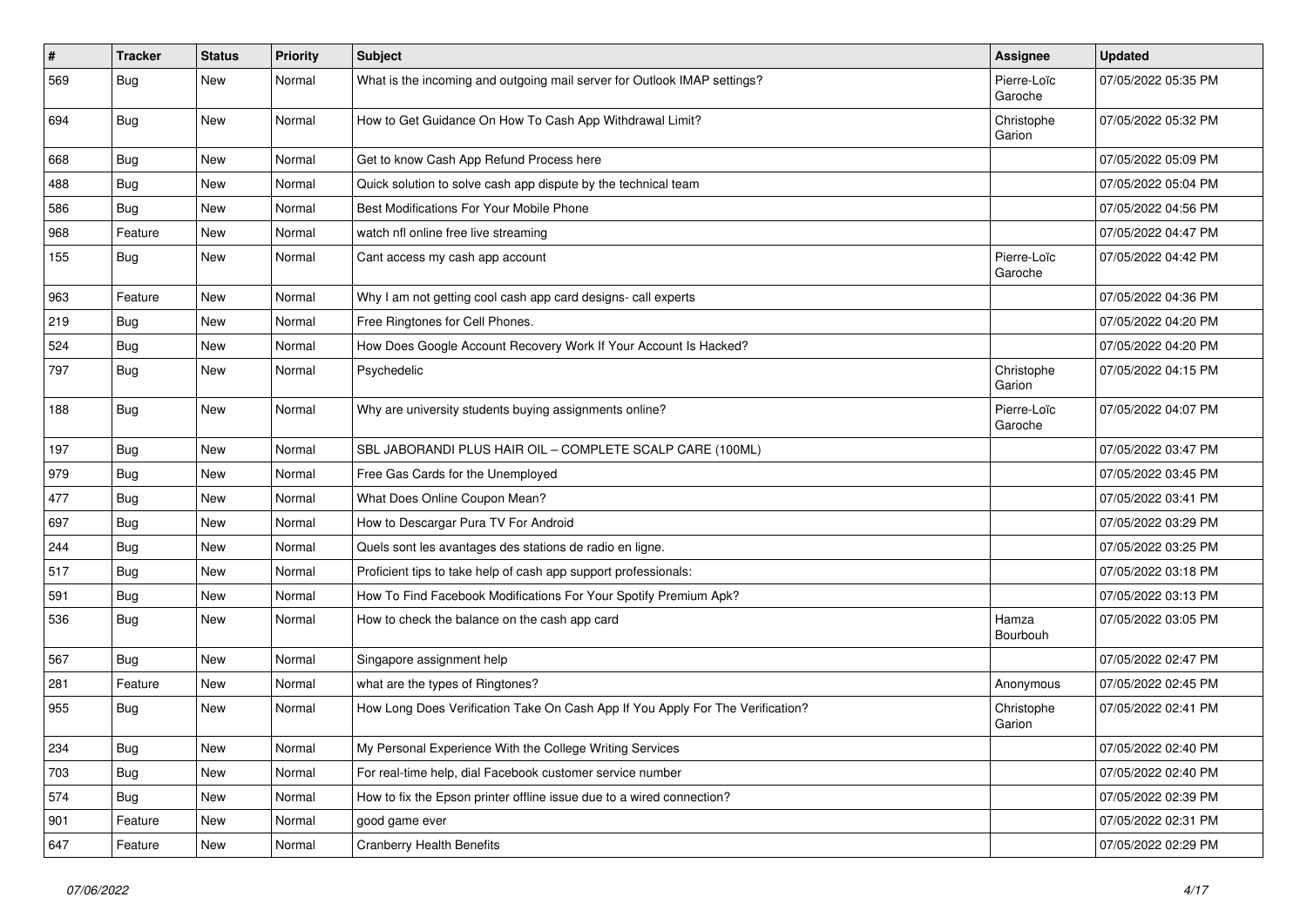| $\sharp$ | <b>Tracker</b> | <b>Status</b> | <b>Priority</b> | Subject                                                                        | Assignee               | <b>Updated</b>      |
|----------|----------------|---------------|-----------------|--------------------------------------------------------------------------------|------------------------|---------------------|
| 569      | <b>Bug</b>     | New           | Normal          | What is the incoming and outgoing mail server for Outlook IMAP settings?       | Pierre-Loïc<br>Garoche | 07/05/2022 05:35 PM |
| 694      | Bug            | New           | Normal          | How to Get Guidance On How To Cash App Withdrawal Limit?                       | Christophe<br>Garion   | 07/05/2022 05:32 PM |
| 668      | Bug            | <b>New</b>    | Normal          | Get to know Cash App Refund Process here                                       |                        | 07/05/2022 05:09 PM |
| 488      | <b>Bug</b>     | New           | Normal          | Quick solution to solve cash app dispute by the technical team                 |                        | 07/05/2022 05:04 PM |
| 586      | <b>Bug</b>     | <b>New</b>    | Normal          | Best Modifications For Your Mobile Phone                                       |                        | 07/05/2022 04:56 PM |
| 968      | Feature        | New           | Normal          | watch nfl online free live streaming                                           |                        | 07/05/2022 04:47 PM |
| 155      | <b>Bug</b>     | New           | Normal          | Cant access my cash app account                                                | Pierre-Loïc<br>Garoche | 07/05/2022 04:42 PM |
| 963      | Feature        | New           | Normal          | Why I am not getting cool cash app card designs- call experts                  |                        | 07/05/2022 04:36 PM |
| 219      | Bug            | New           | Normal          | Free Ringtones for Cell Phones.                                                |                        | 07/05/2022 04:20 PM |
| 524      | <b>Bug</b>     | <b>New</b>    | Normal          | How Does Google Account Recovery Work If Your Account Is Hacked?               |                        | 07/05/2022 04:20 PM |
| 797      | <b>Bug</b>     | New           | Normal          | Psychedelic                                                                    | Christophe<br>Garion   | 07/05/2022 04:15 PM |
| 188      | Bug            | New           | Normal          | Why are university students buying assignments online?                         | Pierre-Loïc<br>Garoche | 07/05/2022 04:07 PM |
| 197      | Bug            | <b>New</b>    | Normal          | SBL JABORANDI PLUS HAIR OIL - COMPLETE SCALP CARE (100ML)                      |                        | 07/05/2022 03:47 PM |
| 979      | <b>Bug</b>     | New           | Normal          | Free Gas Cards for the Unemployed                                              |                        | 07/05/2022 03:45 PM |
| 477      | <b>Bug</b>     | New           | Normal          | What Does Online Coupon Mean?                                                  |                        | 07/05/2022 03:41 PM |
| 697      | Bug            | <b>New</b>    | Normal          | How to Descargar Pura TV For Android                                           |                        | 07/05/2022 03:29 PM |
| 244      | <b>Bug</b>     | New           | Normal          | Quels sont les avantages des stations de radio en ligne.                       |                        | 07/05/2022 03:25 PM |
| 517      | <b>Bug</b>     | <b>New</b>    | Normal          | Proficient tips to take help of cash app support professionals:                |                        | 07/05/2022 03:18 PM |
| 591      | Bug            | New           | Normal          | How To Find Facebook Modifications For Your Spotify Premium Apk?               |                        | 07/05/2022 03:13 PM |
| 536      | <b>Bug</b>     | New           | Normal          | How to check the balance on the cash app card                                  | Hamza<br>Bourbouh      | 07/05/2022 03:05 PM |
| 567      | <b>Bug</b>     | New           | Normal          | Singapore assignment help                                                      |                        | 07/05/2022 02:47 PM |
| 281      | Feature        | New           | Normal          | what are the types of Ringtones?                                               | Anonymous              | 07/05/2022 02:45 PM |
| 955      | <b>Bug</b>     | <b>New</b>    | Normal          | How Long Does Verification Take On Cash App If You Apply For The Verification? | Christophe<br>Garion   | 07/05/2022 02:41 PM |
| 234      | i Bug          | New           | Normal          | My Personal Experience With the College Writing Services                       |                        | 07/05/2022 02:40 PM |
| 703      | <b>Bug</b>     | New           | Normal          | For real-time help, dial Facebook customer service number                      |                        | 07/05/2022 02:40 PM |
| 574      | <b>Bug</b>     | New           | Normal          | How to fix the Epson printer offline issue due to a wired connection?          |                        | 07/05/2022 02:39 PM |
| 901      | Feature        | New           | Normal          | good game ever                                                                 |                        | 07/05/2022 02:31 PM |
| 647      | Feature        | New           | Normal          | <b>Cranberry Health Benefits</b>                                               |                        | 07/05/2022 02:29 PM |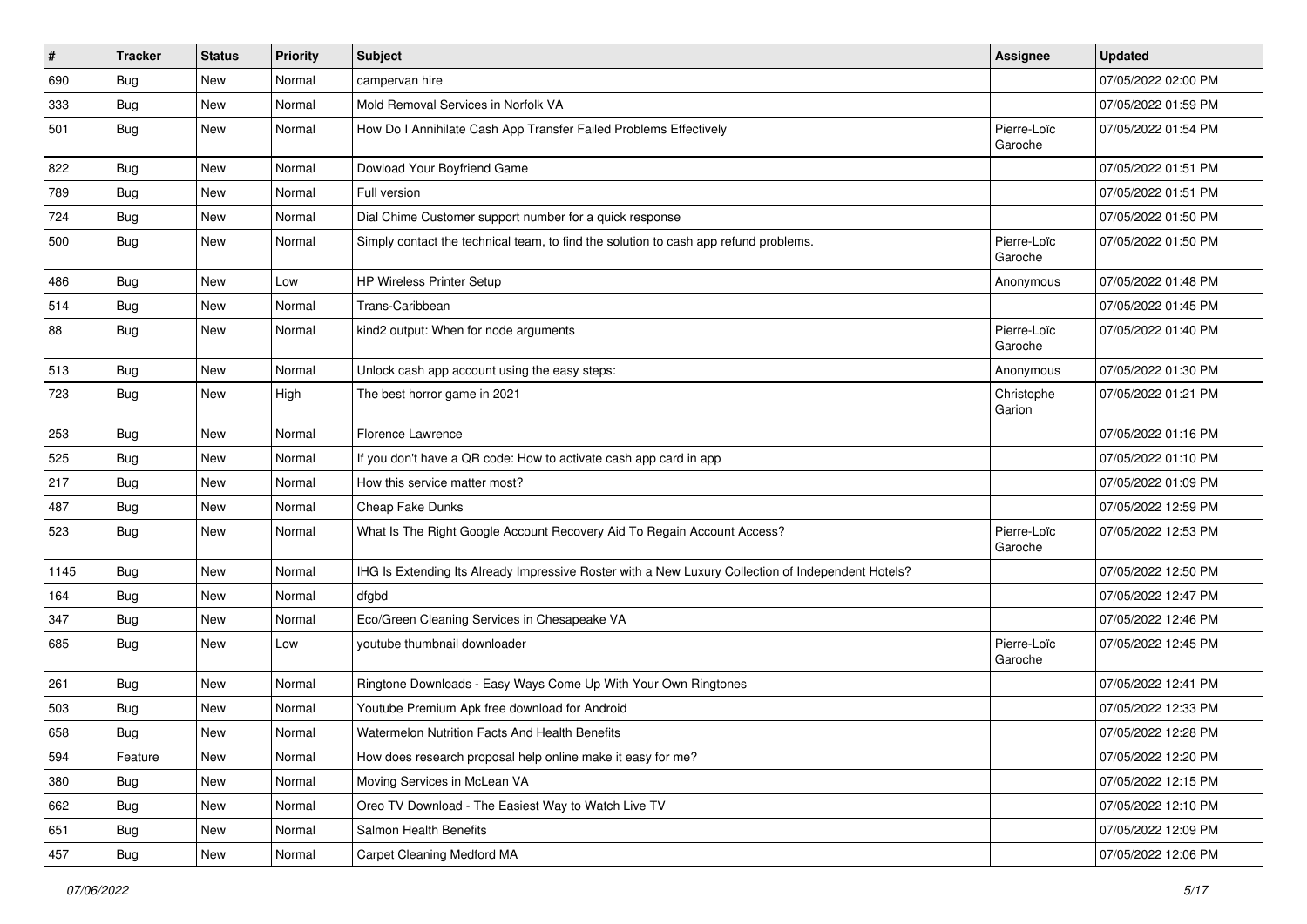| $\vert$ # | <b>Tracker</b> | <b>Status</b> | <b>Priority</b> | Subject                                                                                            | <b>Assignee</b>        | <b>Updated</b>      |
|-----------|----------------|---------------|-----------------|----------------------------------------------------------------------------------------------------|------------------------|---------------------|
| 690       | <b>Bug</b>     | New           | Normal          | campervan hire                                                                                     |                        | 07/05/2022 02:00 PM |
| 333       | <b>Bug</b>     | New           | Normal          | Mold Removal Services in Norfolk VA                                                                |                        | 07/05/2022 01:59 PM |
| 501       | Bug            | New           | Normal          | How Do I Annihilate Cash App Transfer Failed Problems Effectively                                  | Pierre-Loïc<br>Garoche | 07/05/2022 01:54 PM |
| 822       | Bug            | New           | Normal          | Dowload Your Boyfriend Game                                                                        |                        | 07/05/2022 01:51 PM |
| 789       | <b>Bug</b>     | New           | Normal          | Full version                                                                                       |                        | 07/05/2022 01:51 PM |
| 724       | <b>Bug</b>     | New           | Normal          | Dial Chime Customer support number for a quick response                                            |                        | 07/05/2022 01:50 PM |
| 500       | Bug            | New           | Normal          | Simply contact the technical team, to find the solution to cash app refund problems.               | Pierre-Loïc<br>Garoche | 07/05/2022 01:50 PM |
| 486       | <b>Bug</b>     | New           | Low             | HP Wireless Printer Setup                                                                          | Anonymous              | 07/05/2022 01:48 PM |
| 514       | <b>Bug</b>     | New           | Normal          | Trans-Caribbean                                                                                    |                        | 07/05/2022 01:45 PM |
| 88        | <b>Bug</b>     | New           | Normal          | kind2 output: When for node arguments                                                              | Pierre-Loïc<br>Garoche | 07/05/2022 01:40 PM |
| 513       | Bug            | New           | Normal          | Unlock cash app account using the easy steps:                                                      | Anonymous              | 07/05/2022 01:30 PM |
| 723       | <b>Bug</b>     | New           | High            | The best horror game in 2021                                                                       | Christophe<br>Garion   | 07/05/2022 01:21 PM |
| 253       | <b>Bug</b>     | New           | Normal          | Florence Lawrence                                                                                  |                        | 07/05/2022 01:16 PM |
| 525       | <b>Bug</b>     | New           | Normal          | If you don't have a QR code: How to activate cash app card in app                                  |                        | 07/05/2022 01:10 PM |
| 217       | Bug            | New           | Normal          | How this service matter most?                                                                      |                        | 07/05/2022 01:09 PM |
| 487       | <b>Bug</b>     | New           | Normal          | Cheap Fake Dunks                                                                                   |                        | 07/05/2022 12:59 PM |
| 523       | Bug            | New           | Normal          | What Is The Right Google Account Recovery Aid To Regain Account Access?                            | Pierre-Loïc<br>Garoche | 07/05/2022 12:53 PM |
| 1145      | <b>Bug</b>     | New           | Normal          | IHG Is Extending Its Already Impressive Roster with a New Luxury Collection of Independent Hotels? |                        | 07/05/2022 12:50 PM |
| 164       | Bug            | New           | Normal          | dfgbd                                                                                              |                        | 07/05/2022 12:47 PM |
| 347       | <b>Bug</b>     | New           | Normal          | Eco/Green Cleaning Services in Chesapeake VA                                                       |                        | 07/05/2022 12:46 PM |
| 685       | <b>Bug</b>     | New           | Low             | youtube thumbnail downloader                                                                       | Pierre-Loïc<br>Garoche | 07/05/2022 12:45 PM |
| 261       | <b>Bug</b>     | New           | Normal          | Ringtone Downloads - Easy Ways Come Up With Your Own Ringtones                                     |                        | 07/05/2022 12:41 PM |
| 503       | <b>Bug</b>     | New           | Normal          | Youtube Premium Apk free download for Android                                                      |                        | 07/05/2022 12:33 PM |
| 658       | Bug            | New           | Normal          | Watermelon Nutrition Facts And Health Benefits                                                     |                        | 07/05/2022 12:28 PM |
| 594       | Feature        | New           | Normal          | How does research proposal help online make it easy for me?                                        |                        | 07/05/2022 12:20 PM |
| 380       | <b>Bug</b>     | New           | Normal          | Moving Services in McLean VA                                                                       |                        | 07/05/2022 12:15 PM |
| 662       | Bug            | New           | Normal          | Oreo TV Download - The Easiest Way to Watch Live TV                                                |                        | 07/05/2022 12:10 PM |
| 651       | Bug            | New           | Normal          | Salmon Health Benefits                                                                             |                        | 07/05/2022 12:09 PM |
| 457       | <b>Bug</b>     | New           | Normal          | Carpet Cleaning Medford MA                                                                         |                        | 07/05/2022 12:06 PM |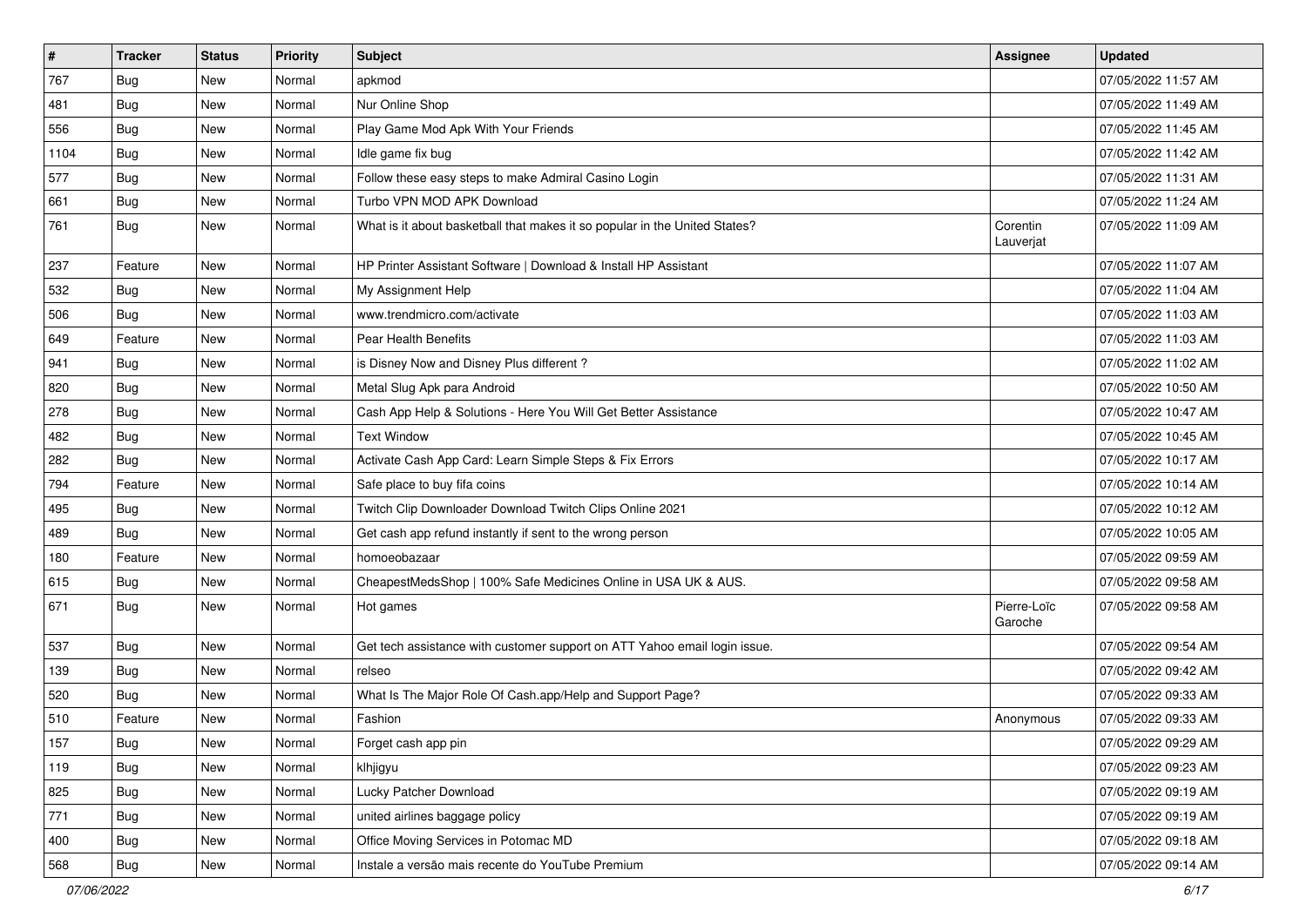| $\vert$ # | <b>Tracker</b> | <b>Status</b> | <b>Priority</b> | Subject                                                                    | <b>Assignee</b>        | <b>Updated</b>      |
|-----------|----------------|---------------|-----------------|----------------------------------------------------------------------------|------------------------|---------------------|
| 767       | <b>Bug</b>     | New           | Normal          | apkmod                                                                     |                        | 07/05/2022 11:57 AM |
| 481       | <b>Bug</b>     | New           | Normal          | Nur Online Shop                                                            |                        | 07/05/2022 11:49 AM |
| 556       | Bug            | New           | Normal          | Play Game Mod Apk With Your Friends                                        |                        | 07/05/2022 11:45 AM |
| 1104      | <b>Bug</b>     | New           | Normal          | Idle game fix bug                                                          |                        | 07/05/2022 11:42 AM |
| 577       | Bug            | New           | Normal          | Follow these easy steps to make Admiral Casino Login                       |                        | 07/05/2022 11:31 AM |
| 661       | <b>Bug</b>     | New           | Normal          | Turbo VPN MOD APK Download                                                 |                        | 07/05/2022 11:24 AM |
| 761       | <b>Bug</b>     | New           | Normal          | What is it about basketball that makes it so popular in the United States? | Corentin<br>Lauverjat  | 07/05/2022 11:09 AM |
| 237       | Feature        | New           | Normal          | HP Printer Assistant Software   Download & Install HP Assistant            |                        | 07/05/2022 11:07 AM |
| 532       | Bug            | New           | Normal          | My Assignment Help                                                         |                        | 07/05/2022 11:04 AM |
| 506       | Bug            | New           | Normal          | www.trendmicro.com/activate                                                |                        | 07/05/2022 11:03 AM |
| 649       | Feature        | New           | Normal          | Pear Health Benefits                                                       |                        | 07/05/2022 11:03 AM |
| 941       | Bug            | New           | Normal          | is Disney Now and Disney Plus different?                                   |                        | 07/05/2022 11:02 AM |
| 820       | <b>Bug</b>     | New           | Normal          | Metal Slug Apk para Android                                                |                        | 07/05/2022 10:50 AM |
| 278       | Bug            | New           | Normal          | Cash App Help & Solutions - Here You Will Get Better Assistance            |                        | 07/05/2022 10:47 AM |
| 482       | Bug            | New           | Normal          | <b>Text Window</b>                                                         |                        | 07/05/2022 10:45 AM |
| 282       | <b>Bug</b>     | New           | Normal          | Activate Cash App Card: Learn Simple Steps & Fix Errors                    |                        | 07/05/2022 10:17 AM |
| 794       | Feature        | New           | Normal          | Safe place to buy fifa coins                                               |                        | 07/05/2022 10:14 AM |
| 495       | Bug            | New           | Normal          | Twitch Clip Downloader Download Twitch Clips Online 2021                   |                        | 07/05/2022 10:12 AM |
| 489       | <b>Bug</b>     | New           | Normal          | Get cash app refund instantly if sent to the wrong person                  |                        | 07/05/2022 10:05 AM |
| 180       | Feature        | <b>New</b>    | Normal          | homoeobazaar                                                               |                        | 07/05/2022 09:59 AM |
| 615       | Bug            | New           | Normal          | CheapestMedsShop   100% Safe Medicines Online in USA UK & AUS.             |                        | 07/05/2022 09:58 AM |
| 671       | Bug            | New           | Normal          | Hot games                                                                  | Pierre-Loïc<br>Garoche | 07/05/2022 09:58 AM |
| 537       | Bug            | New           | Normal          | Get tech assistance with customer support on ATT Yahoo email login issue.  |                        | 07/05/2022 09:54 AM |
| 139       | Bug            | New           | Normal          | relseo                                                                     |                        | 07/05/2022 09:42 AM |
| 520       | <b>Bug</b>     | New           | Normal          | What Is The Major Role Of Cash.app/Help and Support Page?                  |                        | 07/05/2022 09:33 AM |
| 510       | Feature        | New           | Normal          | Fashion                                                                    | Anonymous              | 07/05/2022 09:33 AM |
| 157       | Bug            | New           | Normal          | Forget cash app pin                                                        |                        | 07/05/2022 09:29 AM |
| 119       | Bug            | New           | Normal          | klhjigyu                                                                   |                        | 07/05/2022 09:23 AM |
| 825       | Bug            | New           | Normal          | Lucky Patcher Download                                                     |                        | 07/05/2022 09:19 AM |
| 771       | Bug            | New           | Normal          | united airlines baggage policy                                             |                        | 07/05/2022 09:19 AM |
| 400       | Bug            | New           | Normal          | Office Moving Services in Potomac MD                                       |                        | 07/05/2022 09:18 AM |
| 568       | Bug            | New           | Normal          | Instale a versão mais recente do YouTube Premium                           |                        | 07/05/2022 09:14 AM |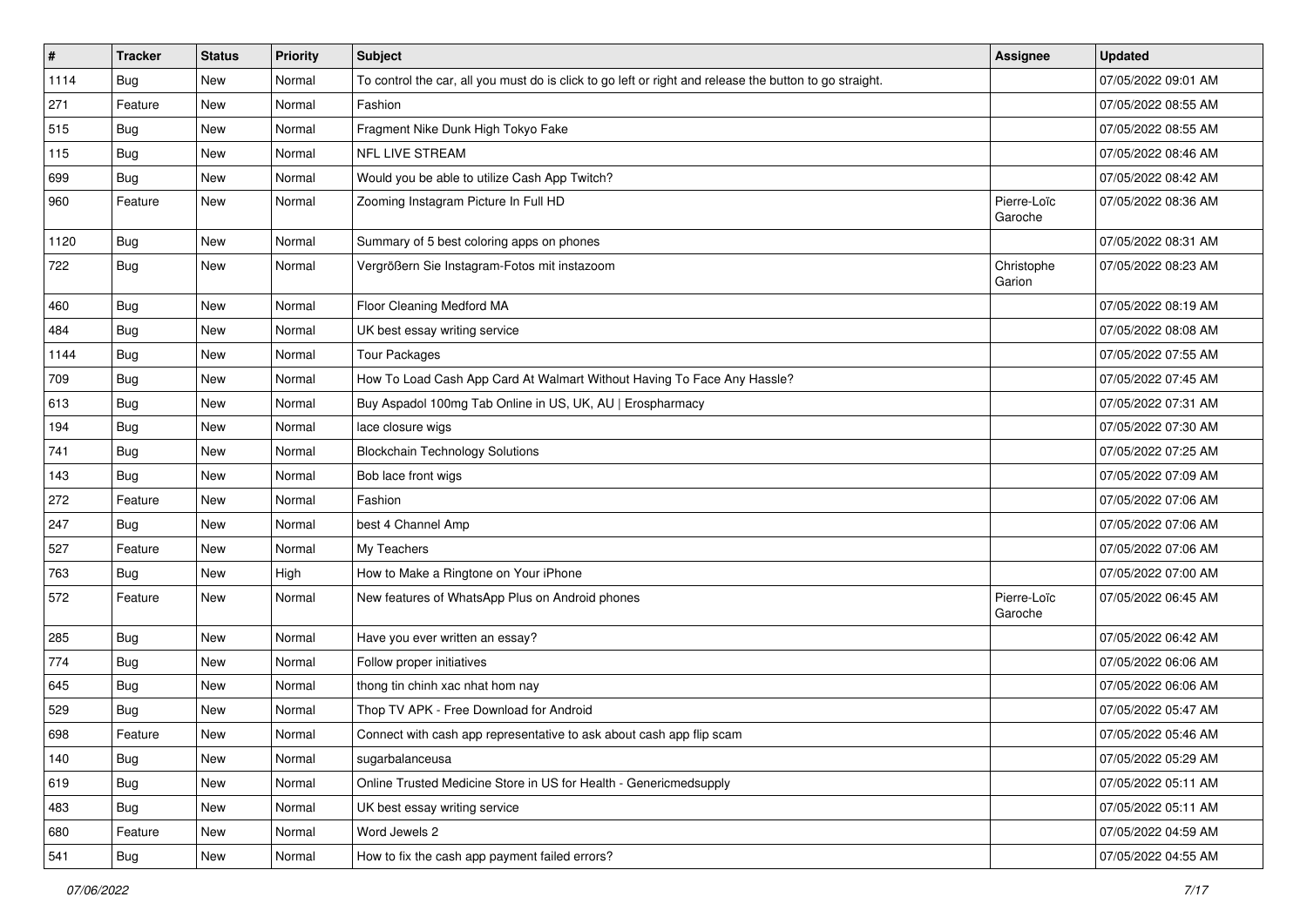| $\vert$ # | <b>Tracker</b> | <b>Status</b> | Priority | <b>Subject</b>                                                                                          | <b>Assignee</b>        | <b>Updated</b>      |
|-----------|----------------|---------------|----------|---------------------------------------------------------------------------------------------------------|------------------------|---------------------|
| 1114      | <b>Bug</b>     | New           | Normal   | To control the car, all you must do is click to go left or right and release the button to go straight. |                        | 07/05/2022 09:01 AM |
| 271       | Feature        | New           | Normal   | Fashion                                                                                                 |                        | 07/05/2022 08:55 AM |
| 515       | Bug            | New           | Normal   | Fragment Nike Dunk High Tokyo Fake                                                                      |                        | 07/05/2022 08:55 AM |
| 115       | <b>Bug</b>     | New           | Normal   | <b>NFL LIVE STREAM</b>                                                                                  |                        | 07/05/2022 08:46 AM |
| 699       | Bug            | New           | Normal   | Would you be able to utilize Cash App Twitch?                                                           |                        | 07/05/2022 08:42 AM |
| 960       | Feature        | New           | Normal   | Zooming Instagram Picture In Full HD                                                                    | Pierre-Loïc<br>Garoche | 07/05/2022 08:36 AM |
| 1120      | Bug            | New           | Normal   | Summary of 5 best coloring apps on phones                                                               |                        | 07/05/2022 08:31 AM |
| 722       | Bug            | New           | Normal   | Vergrößern Sie Instagram-Fotos mit instazoom                                                            | Christophe<br>Garion   | 07/05/2022 08:23 AM |
| 460       | Bug            | New           | Normal   | Floor Cleaning Medford MA                                                                               |                        | 07/05/2022 08:19 AM |
| 484       | <b>Bug</b>     | New           | Normal   | UK best essay writing service                                                                           |                        | 07/05/2022 08:08 AM |
| 1144      | Bug            | New           | Normal   | <b>Tour Packages</b>                                                                                    |                        | 07/05/2022 07:55 AM |
| 709       | <b>Bug</b>     | New           | Normal   | How To Load Cash App Card At Walmart Without Having To Face Any Hassle?                                 |                        | 07/05/2022 07:45 AM |
| 613       | <b>Bug</b>     | New           | Normal   | Buy Aspadol 100mg Tab Online in US, UK, AU   Erospharmacy                                               |                        | 07/05/2022 07:31 AM |
| 194       | Bug            | New           | Normal   | lace closure wigs                                                                                       |                        | 07/05/2022 07:30 AM |
| 741       | <b>Bug</b>     | New           | Normal   | <b>Blockchain Technology Solutions</b>                                                                  |                        | 07/05/2022 07:25 AM |
| 143       | <b>Bug</b>     | New           | Normal   | Bob lace front wigs                                                                                     |                        | 07/05/2022 07:09 AM |
| 272       | Feature        | New           | Normal   | Fashion                                                                                                 |                        | 07/05/2022 07:06 AM |
| 247       | <b>Bug</b>     | New           | Normal   | best 4 Channel Amp                                                                                      |                        | 07/05/2022 07:06 AM |
| 527       | Feature        | New           | Normal   | My Teachers                                                                                             |                        | 07/05/2022 07:06 AM |
| 763       | <b>Bug</b>     | New           | High     | How to Make a Ringtone on Your iPhone                                                                   |                        | 07/05/2022 07:00 AM |
| 572       | Feature        | New           | Normal   | New features of WhatsApp Plus on Android phones                                                         | Pierre-Loïc<br>Garoche | 07/05/2022 06:45 AM |
| 285       | Bug            | New           | Normal   | Have you ever written an essay?                                                                         |                        | 07/05/2022 06:42 AM |
| 774       | <b>Bug</b>     | New           | Normal   | Follow proper initiatives                                                                               |                        | 07/05/2022 06:06 AM |
| 645       | Bug            | New           | Normal   | thong tin chinh xac nhat hom nay                                                                        |                        | 07/05/2022 06:06 AM |
| 529       | <b>Bug</b>     | New           | Normal   | Thop TV APK - Free Download for Android                                                                 |                        | 07/05/2022 05:47 AM |
| 698       | Feature        | New           | Normal   | Connect with cash app representative to ask about cash app flip scam                                    |                        | 07/05/2022 05:46 AM |
| 140       | Bug            | New           | Normal   | sugarbalanceusa                                                                                         |                        | 07/05/2022 05:29 AM |
| 619       | Bug            | New           | Normal   | Online Trusted Medicine Store in US for Health - Genericmedsupply                                       |                        | 07/05/2022 05:11 AM |
| 483       | Bug            | New           | Normal   | UK best essay writing service                                                                           |                        | 07/05/2022 05:11 AM |
| 680       | Feature        | New           | Normal   | Word Jewels 2                                                                                           |                        | 07/05/2022 04:59 AM |
| 541       | Bug            | New           | Normal   | How to fix the cash app payment failed errors?                                                          |                        | 07/05/2022 04:55 AM |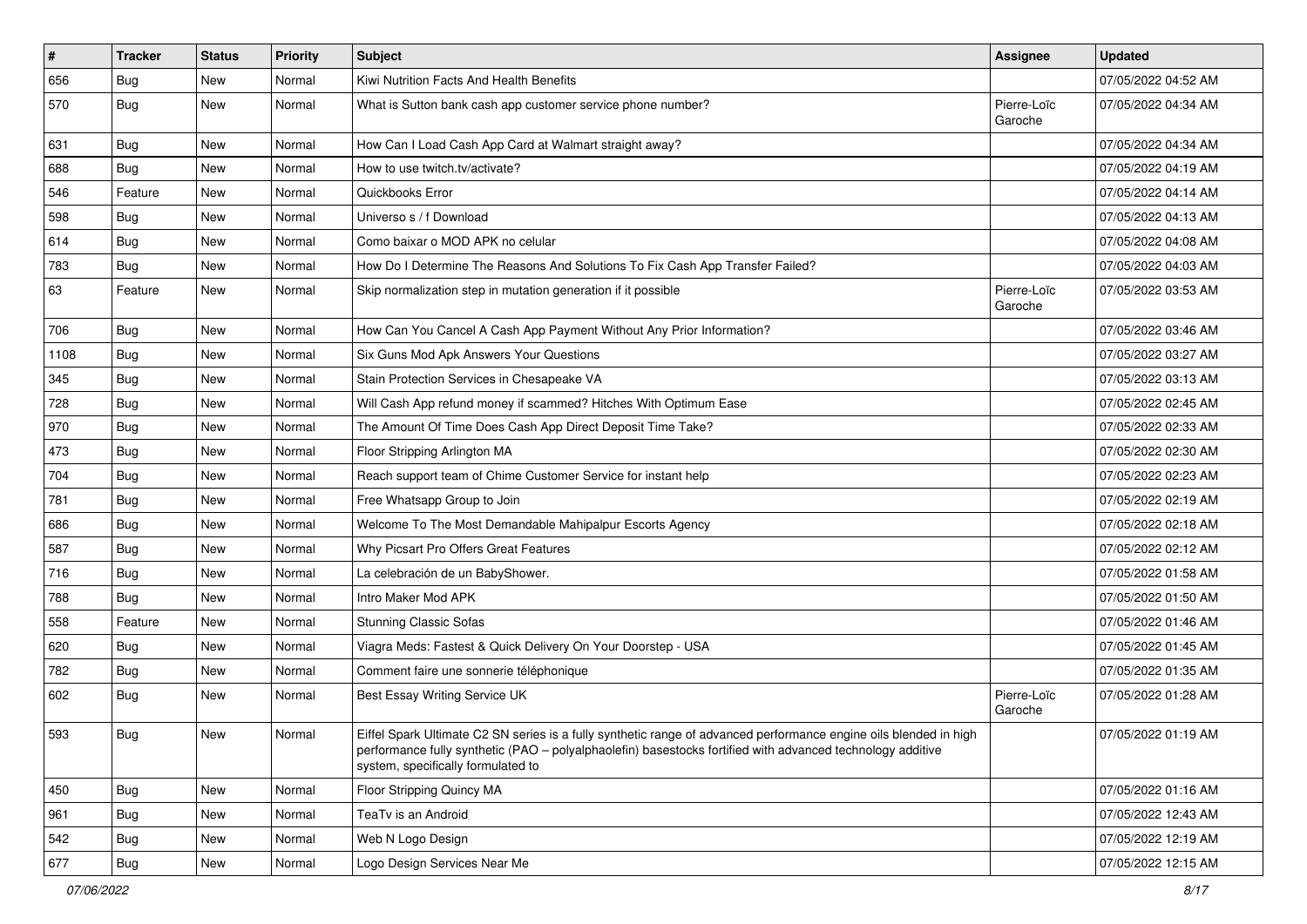| $\sharp$ | <b>Tracker</b> | <b>Status</b> | <b>Priority</b> | <b>Subject</b>                                                                                                                                                                                                                                                        | Assignee               | <b>Updated</b>      |
|----------|----------------|---------------|-----------------|-----------------------------------------------------------------------------------------------------------------------------------------------------------------------------------------------------------------------------------------------------------------------|------------------------|---------------------|
| 656      | <b>Bug</b>     | New           | Normal          | Kiwi Nutrition Facts And Health Benefits                                                                                                                                                                                                                              |                        | 07/05/2022 04:52 AM |
| 570      | <b>Bug</b>     | <b>New</b>    | Normal          | What is Sutton bank cash app customer service phone number?                                                                                                                                                                                                           | Pierre-Loïc<br>Garoche | 07/05/2022 04:34 AM |
| 631      | <b>Bug</b>     | <b>New</b>    | Normal          | How Can I Load Cash App Card at Walmart straight away?                                                                                                                                                                                                                |                        | 07/05/2022 04:34 AM |
| 688      | Bug            | <b>New</b>    | Normal          | How to use twitch.tv/activate?                                                                                                                                                                                                                                        |                        | 07/05/2022 04:19 AM |
| 546      | Feature        | New           | Normal          | Quickbooks Error                                                                                                                                                                                                                                                      |                        | 07/05/2022 04:14 AM |
| 598      | <b>Bug</b>     | New           | Normal          | Universo s / f Download                                                                                                                                                                                                                                               |                        | 07/05/2022 04:13 AM |
| 614      | Bug            | New           | Normal          | Como baixar o MOD APK no celular                                                                                                                                                                                                                                      |                        | 07/05/2022 04:08 AM |
| 783      | <b>Bug</b>     | New           | Normal          | How Do I Determine The Reasons And Solutions To Fix Cash App Transfer Failed?                                                                                                                                                                                         |                        | 07/05/2022 04:03 AM |
| 63       | Feature        | New           | Normal          | Skip normalization step in mutation generation if it possible                                                                                                                                                                                                         | Pierre-Loïc<br>Garoche | 07/05/2022 03:53 AM |
| 706      | Bug            | New           | Normal          | How Can You Cancel A Cash App Payment Without Any Prior Information?                                                                                                                                                                                                  |                        | 07/05/2022 03:46 AM |
| 1108     | Bug            | New           | Normal          | Six Guns Mod Apk Answers Your Questions                                                                                                                                                                                                                               |                        | 07/05/2022 03:27 AM |
| 345      | <b>Bug</b>     | New           | Normal          | Stain Protection Services in Chesapeake VA                                                                                                                                                                                                                            |                        | 07/05/2022 03:13 AM |
| 728      | Bug            | <b>New</b>    | Normal          | Will Cash App refund money if scammed? Hitches With Optimum Ease                                                                                                                                                                                                      |                        | 07/05/2022 02:45 AM |
| 970      | Bug            | New           | Normal          | The Amount Of Time Does Cash App Direct Deposit Time Take?                                                                                                                                                                                                            |                        | 07/05/2022 02:33 AM |
| 473      | <b>Bug</b>     | New           | Normal          | Floor Stripping Arlington MA                                                                                                                                                                                                                                          |                        | 07/05/2022 02:30 AM |
| 704      | Bug            | <b>New</b>    | Normal          | Reach support team of Chime Customer Service for instant help                                                                                                                                                                                                         |                        | 07/05/2022 02:23 AM |
| 781      | <b>Bug</b>     | New           | Normal          | Free Whatsapp Group to Join                                                                                                                                                                                                                                           |                        | 07/05/2022 02:19 AM |
| 686      | Bug            | New           | Normal          | Welcome To The Most Demandable Mahipalpur Escorts Agency                                                                                                                                                                                                              |                        | 07/05/2022 02:18 AM |
| 587      | <b>Bug</b>     | New           | Normal          | Why Picsart Pro Offers Great Features                                                                                                                                                                                                                                 |                        | 07/05/2022 02:12 AM |
| 716      | Bug            | New           | Normal          | La celebración de un BabyShower.                                                                                                                                                                                                                                      |                        | 07/05/2022 01:58 AM |
| 788      | Bug            | <b>New</b>    | Normal          | Intro Maker Mod APK                                                                                                                                                                                                                                                   |                        | 07/05/2022 01:50 AM |
| 558      | Feature        | New           | Normal          | <b>Stunning Classic Sofas</b>                                                                                                                                                                                                                                         |                        | 07/05/2022 01:46 AM |
| 620      | Bug            | New           | Normal          | Viagra Meds: Fastest & Quick Delivery On Your Doorstep - USA                                                                                                                                                                                                          |                        | 07/05/2022 01:45 AM |
| 782      | Bug            | <b>New</b>    | Normal          | Comment faire une sonnerie téléphonique                                                                                                                                                                                                                               |                        | 07/05/2022 01:35 AM |
| 602      | <b>Bug</b>     | New           | Normal          | Best Essay Writing Service UK                                                                                                                                                                                                                                         | Pierre-Loïc<br>Garoche | 07/05/2022 01:28 AM |
| 593      | Bug            | New           | Normal          | Eiffel Spark Ultimate C2 SN series is a fully synthetic range of advanced performance engine oils blended in high<br>performance fully synthetic (PAO - polyalphaolefin) basestocks fortified with advanced technology additive<br>system, specifically formulated to |                        | 07/05/2022 01:19 AM |
| 450      | Bug            | New           | Normal          | Floor Stripping Quincy MA                                                                                                                                                                                                                                             |                        | 07/05/2022 01:16 AM |
| 961      | <b>Bug</b>     | New           | Normal          | TeaTv is an Android                                                                                                                                                                                                                                                   |                        | 07/05/2022 12:43 AM |
| 542      | <b>Bug</b>     | New           | Normal          | Web N Logo Design                                                                                                                                                                                                                                                     |                        | 07/05/2022 12:19 AM |
| 677      | Bug            | New           | Normal          | Logo Design Services Near Me                                                                                                                                                                                                                                          |                        | 07/05/2022 12:15 AM |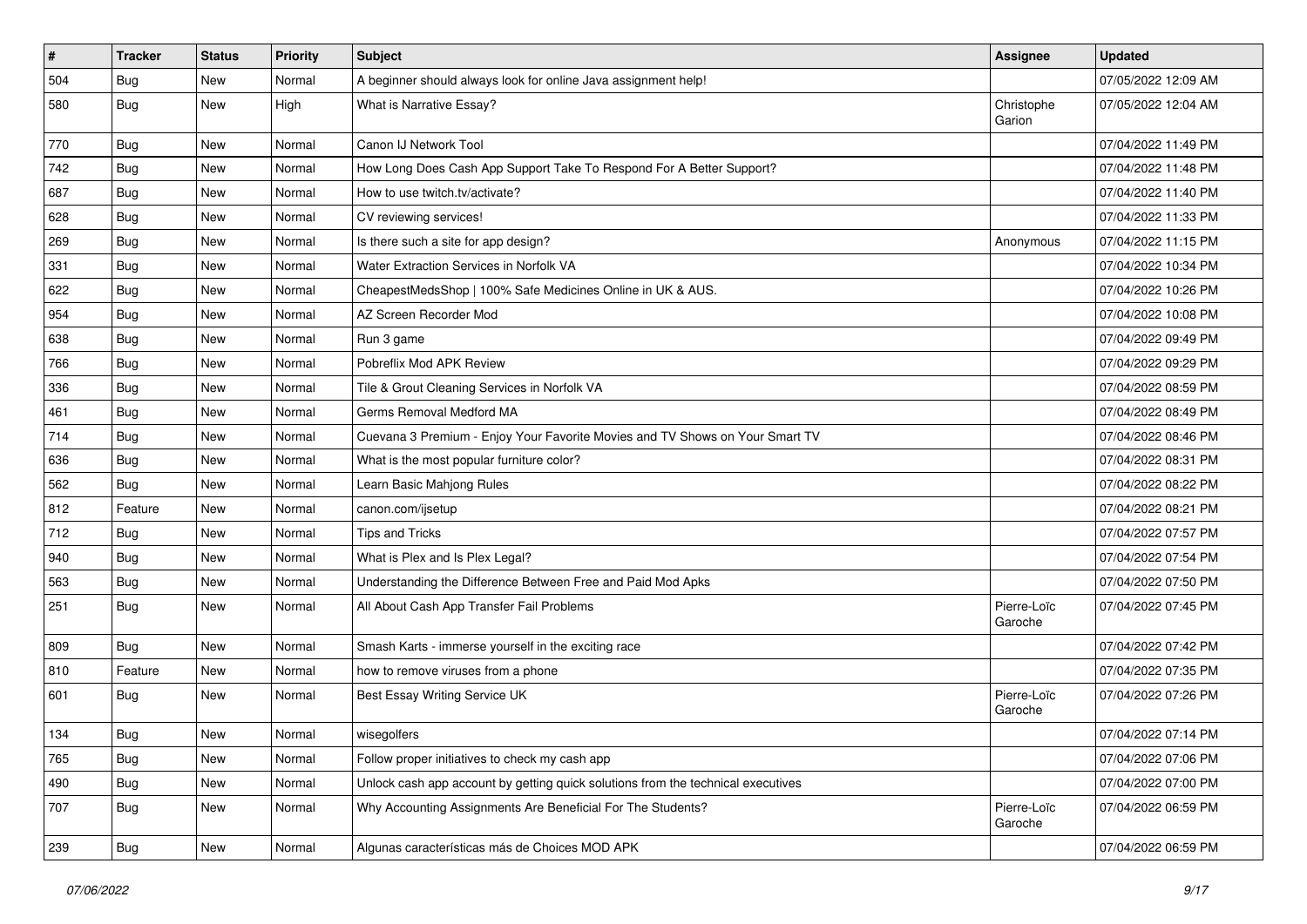| $\vert$ # | <b>Tracker</b> | <b>Status</b> | Priority | <b>Subject</b>                                                                   | <b>Assignee</b>        | <b>Updated</b>      |
|-----------|----------------|---------------|----------|----------------------------------------------------------------------------------|------------------------|---------------------|
| 504       | <b>Bug</b>     | New           | Normal   | A beginner should always look for online Java assignment help!                   |                        | 07/05/2022 12:09 AM |
| 580       | <b>Bug</b>     | New           | High     | What is Narrative Essay?                                                         | Christophe<br>Garion   | 07/05/2022 12:04 AM |
| 770       | <b>Bug</b>     | New           | Normal   | Canon IJ Network Tool                                                            |                        | 07/04/2022 11:49 PM |
| 742       | Bug            | New           | Normal   | How Long Does Cash App Support Take To Respond For A Better Support?             |                        | 07/04/2022 11:48 PM |
| 687       | Bug            | New           | Normal   | How to use twitch.tv/activate?                                                   |                        | 07/04/2022 11:40 PM |
| 628       | <b>Bug</b>     | New           | Normal   | CV reviewing services!                                                           |                        | 07/04/2022 11:33 PM |
| 269       | Bug            | New           | Normal   | Is there such a site for app design?                                             | Anonymous              | 07/04/2022 11:15 PM |
| 331       | <b>Bug</b>     | New           | Normal   | Water Extraction Services in Norfolk VA                                          |                        | 07/04/2022 10:34 PM |
| 622       | Bug            | New           | Normal   | CheapestMedsShop   100% Safe Medicines Online in UK & AUS.                       |                        | 07/04/2022 10:26 PM |
| 954       | Bug            | New           | Normal   | AZ Screen Recorder Mod                                                           |                        | 07/04/2022 10:08 PM |
| 638       | <b>Bug</b>     | New           | Normal   | Run 3 game                                                                       |                        | 07/04/2022 09:49 PM |
| 766       | Bug            | New           | Normal   | Pobreflix Mod APK Review                                                         |                        | 07/04/2022 09:29 PM |
| 336       | <b>Bug</b>     | New           | Normal   | Tile & Grout Cleaning Services in Norfolk VA                                     |                        | 07/04/2022 08:59 PM |
| 461       | Bug            | New           | Normal   | Germs Removal Medford MA                                                         |                        | 07/04/2022 08:49 PM |
| 714       | Bug            | New           | Normal   | Cuevana 3 Premium - Enjoy Your Favorite Movies and TV Shows on Your Smart TV     |                        | 07/04/2022 08:46 PM |
| 636       | <b>Bug</b>     | New           | Normal   | What is the most popular furniture color?                                        |                        | 07/04/2022 08:31 PM |
| 562       | Bug            | New           | Normal   | Learn Basic Mahjong Rules                                                        |                        | 07/04/2022 08:22 PM |
| 812       | Feature        | New           | Normal   | canon.com/ijsetup                                                                |                        | 07/04/2022 08:21 PM |
| 712       | Bug            | New           | Normal   | <b>Tips and Tricks</b>                                                           |                        | 07/04/2022 07:57 PM |
| 940       | Bug            | <b>New</b>    | Normal   | What is Plex and Is Plex Legal?                                                  |                        | 07/04/2022 07:54 PM |
| 563       | <b>Bug</b>     | New           | Normal   | Understanding the Difference Between Free and Paid Mod Apks                      |                        | 07/04/2022 07:50 PM |
| 251       | Bug            | New           | Normal   | All About Cash App Transfer Fail Problems                                        | Pierre-Loïc<br>Garoche | 07/04/2022 07:45 PM |
| 809       | <b>Bug</b>     | New           | Normal   | Smash Karts - immerse yourself in the exciting race                              |                        | 07/04/2022 07:42 PM |
| 810       | Feature        | New           | Normal   | how to remove viruses from a phone                                               |                        | 07/04/2022 07:35 PM |
| 601       | <b>Bug</b>     | New           | Normal   | Best Essay Writing Service UK                                                    | Pierre-Loïc<br>Garoche | 07/04/2022 07:26 PM |
| 134       | <b>Bug</b>     | New           | Normal   | wisegolfers                                                                      |                        | 07/04/2022 07:14 PM |
| 765       | <b>Bug</b>     | New           | Normal   | Follow proper initiatives to check my cash app                                   |                        | 07/04/2022 07:06 PM |
| 490       | <b>Bug</b>     | New           | Normal   | Unlock cash app account by getting quick solutions from the technical executives |                        | 07/04/2022 07:00 PM |
| 707       | <b>Bug</b>     | New           | Normal   | Why Accounting Assignments Are Beneficial For The Students?                      | Pierre-Loïc<br>Garoche | 07/04/2022 06:59 PM |
| 239       | <b>Bug</b>     | New           | Normal   | Algunas características más de Choices MOD APK                                   |                        | 07/04/2022 06:59 PM |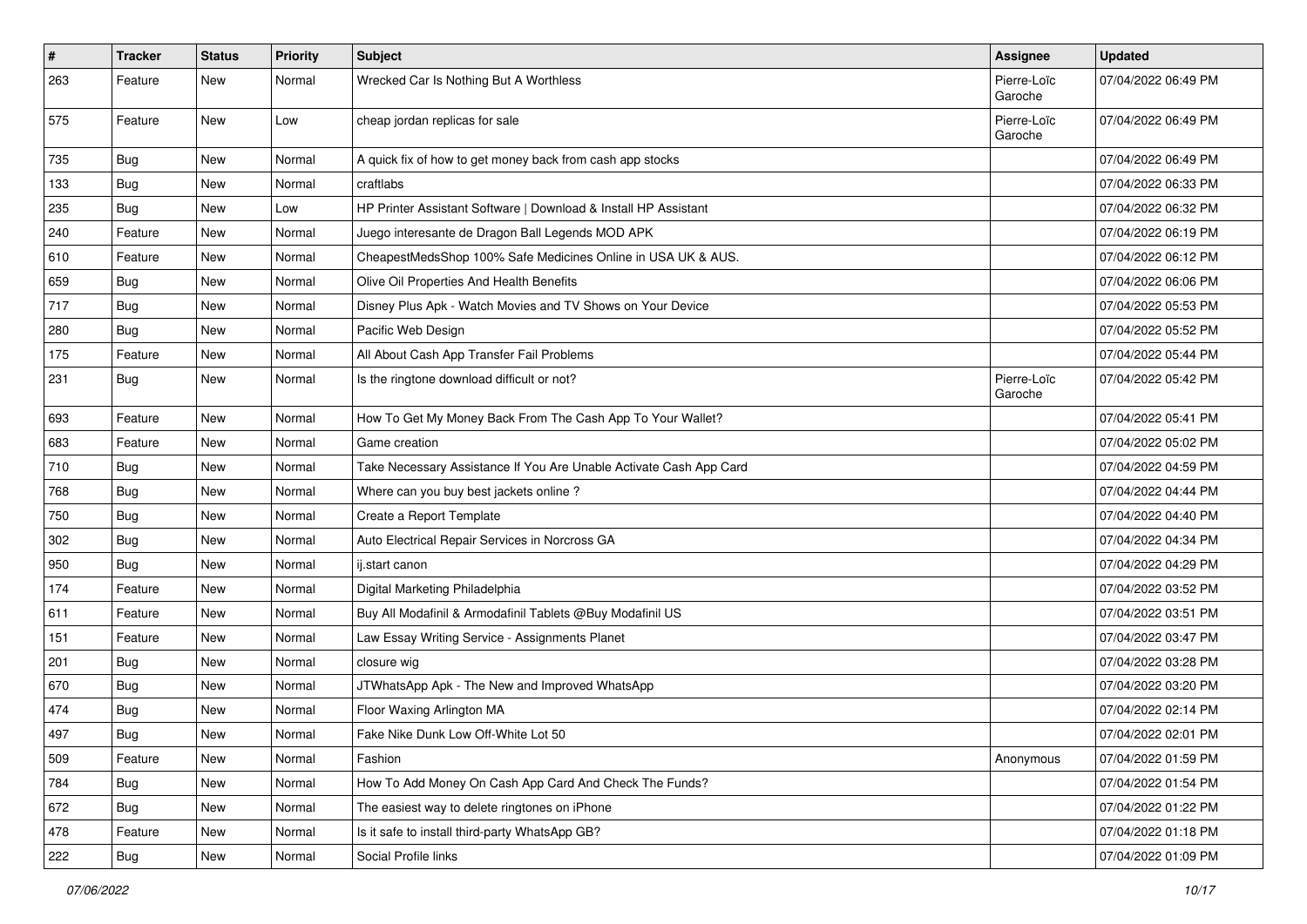| $\vert$ # | Tracker    | <b>Status</b> | <b>Priority</b> | Subject                                                            | <b>Assignee</b>        | <b>Updated</b>      |
|-----------|------------|---------------|-----------------|--------------------------------------------------------------------|------------------------|---------------------|
| 263       | Feature    | New           | Normal          | Wrecked Car Is Nothing But A Worthless                             | Pierre-Loïc<br>Garoche | 07/04/2022 06:49 PM |
| 575       | Feature    | New           | Low             | cheap jordan replicas for sale                                     | Pierre-Loïc<br>Garoche | 07/04/2022 06:49 PM |
| 735       | Bug        | New           | Normal          | A quick fix of how to get money back from cash app stocks          |                        | 07/04/2022 06:49 PM |
| 133       | <b>Bug</b> | New           | Normal          | craftlabs                                                          |                        | 07/04/2022 06:33 PM |
| 235       | <b>Bug</b> | New           | Low             | HP Printer Assistant Software   Download & Install HP Assistant    |                        | 07/04/2022 06:32 PM |
| 240       | Feature    | New           | Normal          | Juego interesante de Dragon Ball Legends MOD APK                   |                        | 07/04/2022 06:19 PM |
| 610       | Feature    | New           | Normal          | CheapestMedsShop 100% Safe Medicines Online in USA UK & AUS.       |                        | 07/04/2022 06:12 PM |
| 659       | Bug        | New           | Normal          | Olive Oil Properties And Health Benefits                           |                        | 07/04/2022 06:06 PM |
| 717       | <b>Bug</b> | New           | Normal          | Disney Plus Apk - Watch Movies and TV Shows on Your Device         |                        | 07/04/2022 05:53 PM |
| 280       | <b>Bug</b> | New           | Normal          | Pacific Web Design                                                 |                        | 07/04/2022 05:52 PM |
| 175       | Feature    | New           | Normal          | All About Cash App Transfer Fail Problems                          |                        | 07/04/2022 05:44 PM |
| 231       | <b>Bug</b> | New           | Normal          | Is the ringtone download difficult or not?                         | Pierre-Loïc<br>Garoche | 07/04/2022 05:42 PM |
| 693       | Feature    | New           | Normal          | How To Get My Money Back From The Cash App To Your Wallet?         |                        | 07/04/2022 05:41 PM |
| 683       | Feature    | New           | Normal          | Game creation                                                      |                        | 07/04/2022 05:02 PM |
| 710       | Bug        | New           | Normal          | Take Necessary Assistance If You Are Unable Activate Cash App Card |                        | 07/04/2022 04:59 PM |
| 768       | <b>Bug</b> | New           | Normal          | Where can you buy best jackets online?                             |                        | 07/04/2022 04:44 PM |
| 750       | <b>Bug</b> | New           | Normal          | Create a Report Template                                           |                        | 07/04/2022 04:40 PM |
| 302       | <b>Bug</b> | New           | Normal          | Auto Electrical Repair Services in Norcross GA                     |                        | 07/04/2022 04:34 PM |
| 950       | <b>Bug</b> | New           | Normal          | ij.start canon                                                     |                        | 07/04/2022 04:29 PM |
| 174       | Feature    | New           | Normal          | Digital Marketing Philadelphia                                     |                        | 07/04/2022 03:52 PM |
| 611       | Feature    | New           | Normal          | Buy All Modafinil & Armodafinil Tablets @Buy Modafinil US          |                        | 07/04/2022 03:51 PM |
| 151       | Feature    | New           | Normal          | Law Essay Writing Service - Assignments Planet                     |                        | 07/04/2022 03:47 PM |
| 201       | Bug        | New           | Normal          | closure wig                                                        |                        | 07/04/2022 03:28 PM |
| 670       | Bug        | New           | Normal          | JTWhatsApp Apk - The New and Improved WhatsApp                     |                        | 07/04/2022 03:20 PM |
| 474       | <b>Bug</b> | New           | Normal          | Floor Waxing Arlington MA                                          |                        | 07/04/2022 02:14 PM |
| 497       | Bug        | New           | Normal          | Fake Nike Dunk Low Off-White Lot 50                                |                        | 07/04/2022 02:01 PM |
| 509       | Feature    | New           | Normal          | Fashion                                                            | Anonymous              | 07/04/2022 01:59 PM |
| 784       | Bug        | New           | Normal          | How To Add Money On Cash App Card And Check The Funds?             |                        | 07/04/2022 01:54 PM |
| 672       | <b>Bug</b> | New           | Normal          | The easiest way to delete ringtones on iPhone                      |                        | 07/04/2022 01:22 PM |
| 478       | Feature    | New           | Normal          | Is it safe to install third-party WhatsApp GB?                     |                        | 07/04/2022 01:18 PM |
| 222       | Bug        | New           | Normal          | Social Profile links                                               |                        | 07/04/2022 01:09 PM |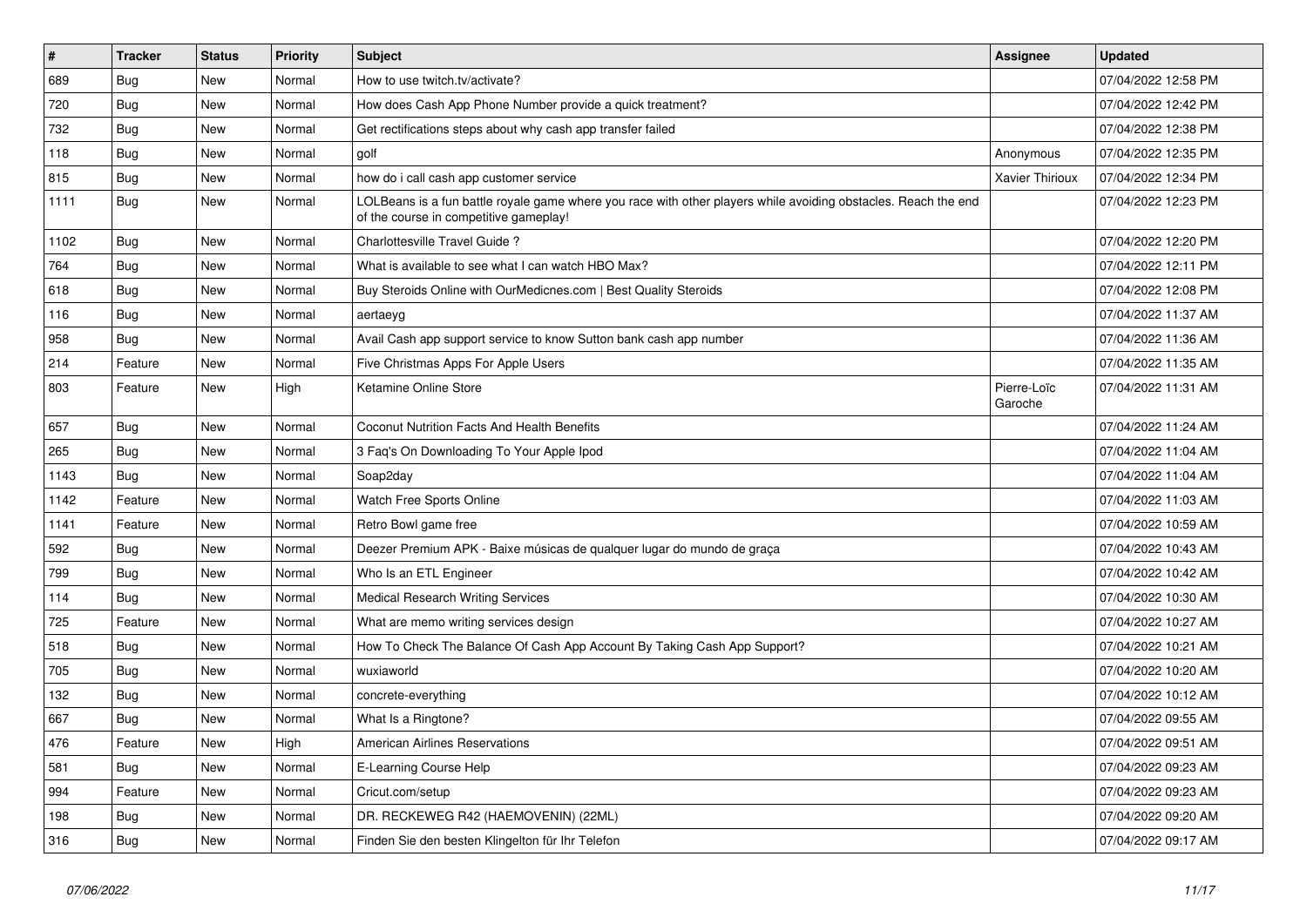| $\vert$ # | <b>Tracker</b> | <b>Status</b> | <b>Priority</b> | <b>Subject</b>                                                                                                                                           | <b>Assignee</b>        | <b>Updated</b>      |
|-----------|----------------|---------------|-----------------|----------------------------------------------------------------------------------------------------------------------------------------------------------|------------------------|---------------------|
| 689       | <b>Bug</b>     | <b>New</b>    | Normal          | How to use twitch.tv/activate?                                                                                                                           |                        | 07/04/2022 12:58 PM |
| 720       | <b>Bug</b>     | New           | Normal          | How does Cash App Phone Number provide a quick treatment?                                                                                                |                        | 07/04/2022 12:42 PM |
| 732       | Bug            | New           | Normal          | Get rectifications steps about why cash app transfer failed                                                                                              |                        | 07/04/2022 12:38 PM |
| 118       | Bug            | New           | Normal          | golf                                                                                                                                                     | Anonymous              | 07/04/2022 12:35 PM |
| 815       | <b>Bug</b>     | New           | Normal          | how do i call cash app customer service                                                                                                                  | <b>Xavier Thirioux</b> | 07/04/2022 12:34 PM |
| 1111      | <b>Bug</b>     | New           | Normal          | LOLBeans is a fun battle royale game where you race with other players while avoiding obstacles. Reach the end<br>of the course in competitive gameplay! |                        | 07/04/2022 12:23 PM |
| 1102      | Bug            | New           | Normal          | Charlottesville Travel Guide?                                                                                                                            |                        | 07/04/2022 12:20 PM |
| 764       | Bug            | New           | Normal          | What is available to see what I can watch HBO Max?                                                                                                       |                        | 07/04/2022 12:11 PM |
| 618       | Bug            | New           | Normal          | Buy Steroids Online with OurMedicnes.com   Best Quality Steroids                                                                                         |                        | 07/04/2022 12:08 PM |
| 116       | Bug            | New           | Normal          | aertaeyg                                                                                                                                                 |                        | 07/04/2022 11:37 AM |
| 958       | Bug            | New           | Normal          | Avail Cash app support service to know Sutton bank cash app number                                                                                       |                        | 07/04/2022 11:36 AM |
| 214       | Feature        | New           | Normal          | Five Christmas Apps For Apple Users                                                                                                                      |                        | 07/04/2022 11:35 AM |
| 803       | Feature        | New           | High            | Ketamine Online Store                                                                                                                                    | Pierre-Loïc<br>Garoche | 07/04/2022 11:31 AM |
| 657       | Bug            | New           | Normal          | <b>Coconut Nutrition Facts And Health Benefits</b>                                                                                                       |                        | 07/04/2022 11:24 AM |
| 265       | <b>Bug</b>     | New           | Normal          | 3 Faq's On Downloading To Your Apple Ipod                                                                                                                |                        | 07/04/2022 11:04 AM |
| 1143      | Bug            | New           | Normal          | Soap2day                                                                                                                                                 |                        | 07/04/2022 11:04 AM |
| 1142      | Feature        | New           | Normal          | Watch Free Sports Online                                                                                                                                 |                        | 07/04/2022 11:03 AM |
| 1141      | Feature        | New           | Normal          | Retro Bowl game free                                                                                                                                     |                        | 07/04/2022 10:59 AM |
| 592       | <b>Bug</b>     | New           | Normal          | Deezer Premium APK - Baixe músicas de qualquer lugar do mundo de graça                                                                                   |                        | 07/04/2022 10:43 AM |
| 799       | Bug            | New           | Normal          | Who Is an ETL Engineer                                                                                                                                   |                        | 07/04/2022 10:42 AM |
| 114       | Bug            | New           | Normal          | <b>Medical Research Writing Services</b>                                                                                                                 |                        | 07/04/2022 10:30 AM |
| 725       | Feature        | <b>New</b>    | Normal          | What are memo writing services design                                                                                                                    |                        | 07/04/2022 10:27 AM |
| 518       | Bug            | New           | Normal          | How To Check The Balance Of Cash App Account By Taking Cash App Support?                                                                                 |                        | 07/04/2022 10:21 AM |
| 705       | Bug            | New           | Normal          | wuxiaworld                                                                                                                                               |                        | 07/04/2022 10:20 AM |
| 132       | <b>Bug</b>     | New           | Normal          | concrete-everything                                                                                                                                      |                        | 07/04/2022 10:12 AM |
| 667       | Bug            | <b>New</b>    | Normal          | What Is a Ringtone?                                                                                                                                      |                        | 07/04/2022 09:55 AM |
| 476       | Feature        | <b>New</b>    | High            | <b>American Airlines Reservations</b>                                                                                                                    |                        | 07/04/2022 09:51 AM |
| 581       | Bug            | New           | Normal          | E-Learning Course Help                                                                                                                                   |                        | 07/04/2022 09:23 AM |
| 994       | Feature        | New           | Normal          | Cricut.com/setup                                                                                                                                         |                        | 07/04/2022 09:23 AM |
| 198       | Bug            | New           | Normal          | DR. RECKEWEG R42 (HAEMOVENIN) (22ML)                                                                                                                     |                        | 07/04/2022 09:20 AM |
| 316       | <b>Bug</b>     | New           | Normal          | Finden Sie den besten Klingelton für Ihr Telefon                                                                                                         |                        | 07/04/2022 09:17 AM |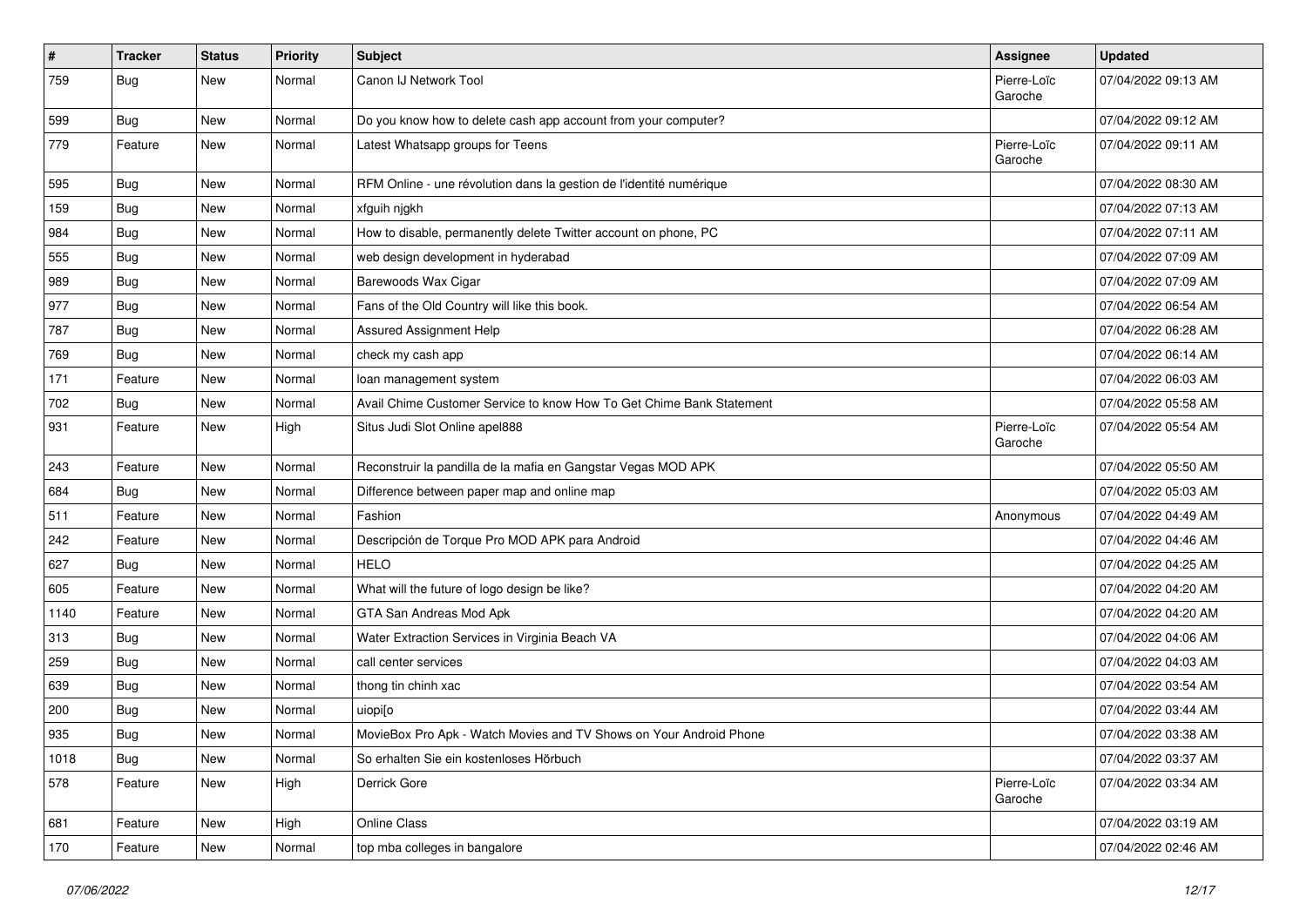| $\vert$ # | <b>Tracker</b> | <b>Status</b> | <b>Priority</b> | Subject                                                              | <b>Assignee</b>        | <b>Updated</b>      |
|-----------|----------------|---------------|-----------------|----------------------------------------------------------------------|------------------------|---------------------|
| 759       | <b>Bug</b>     | New           | Normal          | Canon IJ Network Tool                                                | Pierre-Loïc<br>Garoche | 07/04/2022 09:13 AM |
| 599       | <b>Bug</b>     | New           | Normal          | Do you know how to delete cash app account from your computer?       |                        | 07/04/2022 09:12 AM |
| 779       | Feature        | New           | Normal          | Latest Whatsapp groups for Teens                                     | Pierre-Loïc<br>Garoche | 07/04/2022 09:11 AM |
| 595       | Bug            | New           | Normal          | RFM Online - une révolution dans la gestion de l'identité numérique  |                        | 07/04/2022 08:30 AM |
| 159       | <b>Bug</b>     | New           | Normal          | xfguih njgkh                                                         |                        | 07/04/2022 07:13 AM |
| 984       | Bug            | New           | Normal          | How to disable, permanently delete Twitter account on phone, PC      |                        | 07/04/2022 07:11 AM |
| 555       | <b>Bug</b>     | New           | Normal          | web design development in hyderabad                                  |                        | 07/04/2022 07:09 AM |
| 989       | Bug            | New           | Normal          | Barewoods Wax Cigar                                                  |                        | 07/04/2022 07:09 AM |
| 977       | Bug            | New           | Normal          | Fans of the Old Country will like this book.                         |                        | 07/04/2022 06:54 AM |
| 787       | Bug            | New           | Normal          | Assured Assignment Help                                              |                        | 07/04/2022 06:28 AM |
| 769       | <b>Bug</b>     | New           | Normal          | check my cash app                                                    |                        | 07/04/2022 06:14 AM |
| 171       | Feature        | New           | Normal          | loan management system                                               |                        | 07/04/2022 06:03 AM |
| 702       | <b>Bug</b>     | New           | Normal          | Avail Chime Customer Service to know How To Get Chime Bank Statement |                        | 07/04/2022 05:58 AM |
| 931       | Feature        | New           | High            | Situs Judi Slot Online apel888                                       | Pierre-Loïc<br>Garoche | 07/04/2022 05:54 AM |
| 243       | Feature        | New           | Normal          | Reconstruir la pandilla de la mafia en Gangstar Vegas MOD APK        |                        | 07/04/2022 05:50 AM |
| 684       | Bug            | New           | Normal          | Difference between paper map and online map                          |                        | 07/04/2022 05:03 AM |
| 511       | Feature        | New           | Normal          | Fashion                                                              | Anonymous              | 07/04/2022 04:49 AM |
| 242       | Feature        | New           | Normal          | Descripción de Torque Pro MOD APK para Android                       |                        | 07/04/2022 04:46 AM |
| 627       | <b>Bug</b>     | New           | Normal          | <b>HELO</b>                                                          |                        | 07/04/2022 04:25 AM |
| 605       | Feature        | New           | Normal          | What will the future of logo design be like?                         |                        | 07/04/2022 04:20 AM |
| 1140      | Feature        | New           | Normal          | GTA San Andreas Mod Apk                                              |                        | 07/04/2022 04:20 AM |
| 313       | <b>Bug</b>     | New           | Normal          | Water Extraction Services in Virginia Beach VA                       |                        | 07/04/2022 04:06 AM |
| 259       | Bug            | New           | Normal          | call center services                                                 |                        | 07/04/2022 04:03 AM |
| 639       | <b>Bug</b>     | New           | Normal          | thong tin chinh xac                                                  |                        | 07/04/2022 03:54 AM |
| 200       | <b>Bug</b>     | New           | Normal          | uiopi[o                                                              |                        | 07/04/2022 03:44 AM |
| 935       | Bug            | New           | Normal          | MovieBox Pro Apk - Watch Movies and TV Shows on Your Android Phone   |                        | 07/04/2022 03:38 AM |
| 1018      | Bug            | New           | Normal          | So erhalten Sie ein kostenloses Hörbuch                              |                        | 07/04/2022 03:37 AM |
| 578       | Feature        | New           | High            | Derrick Gore                                                         | Pierre-Loïc<br>Garoche | 07/04/2022 03:34 AM |
| 681       | Feature        | New           | High            | Online Class                                                         |                        | 07/04/2022 03:19 AM |
| 170       | Feature        | New           | Normal          | top mba colleges in bangalore                                        |                        | 07/04/2022 02:46 AM |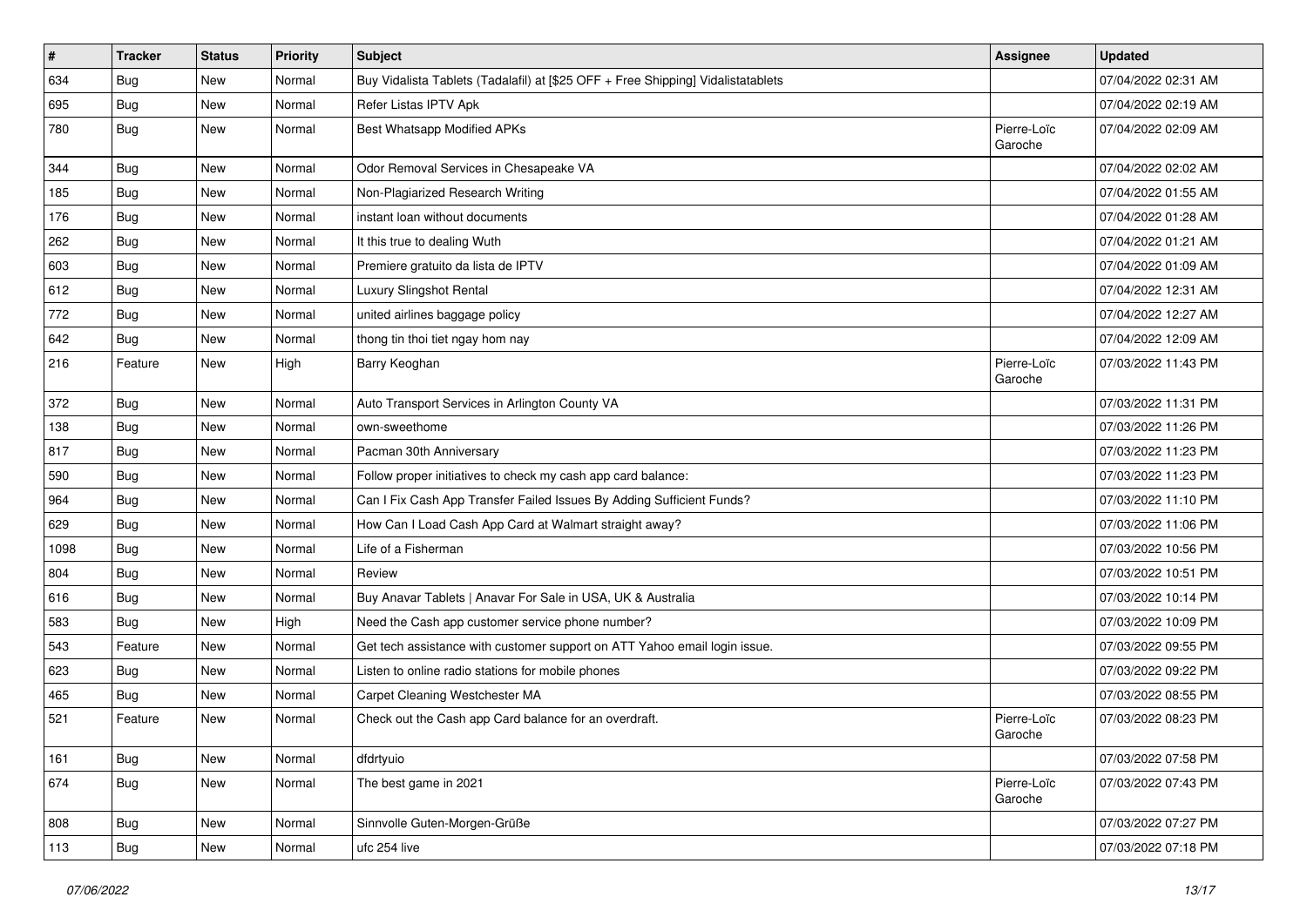| $\vert$ # | <b>Tracker</b> | <b>Status</b> | <b>Priority</b> | <b>Subject</b>                                                                   | Assignee               | <b>Updated</b>      |
|-----------|----------------|---------------|-----------------|----------------------------------------------------------------------------------|------------------------|---------------------|
| 634       | <b>Bug</b>     | New           | Normal          | Buy Vidalista Tablets (Tadalafil) at [\$25 OFF + Free Shipping] Vidalistatablets |                        | 07/04/2022 02:31 AM |
| 695       | Bug            | New           | Normal          | Refer Listas IPTV Apk                                                            |                        | 07/04/2022 02:19 AM |
| 780       | Bug            | New           | Normal          | Best Whatsapp Modified APKs                                                      | Pierre-Loïc<br>Garoche | 07/04/2022 02:09 AM |
| 344       | Bug            | New           | Normal          | Odor Removal Services in Chesapeake VA                                           |                        | 07/04/2022 02:02 AM |
| 185       | Bug            | New           | Normal          | Non-Plagiarized Research Writing                                                 |                        | 07/04/2022 01:55 AM |
| 176       | <b>Bug</b>     | New           | Normal          | instant loan without documents                                                   |                        | 07/04/2022 01:28 AM |
| 262       | Bug            | New           | Normal          | It this true to dealing Wuth                                                     |                        | 07/04/2022 01:21 AM |
| 603       | <b>Bug</b>     | New           | Normal          | Premiere gratuito da lista de IPTV                                               |                        | 07/04/2022 01:09 AM |
| 612       | Bug            | <b>New</b>    | Normal          | Luxury Slingshot Rental                                                          |                        | 07/04/2022 12:31 AM |
| 772       | Bug            | New           | Normal          | united airlines baggage policy                                                   |                        | 07/04/2022 12:27 AM |
| 642       | <b>Bug</b>     | <b>New</b>    | Normal          | thong tin thoi tiet ngay hom nay                                                 |                        | 07/04/2022 12:09 AM |
| 216       | Feature        | New           | High            | Barry Keoghan                                                                    | Pierre-Loïc<br>Garoche | 07/03/2022 11:43 PM |
| 372       | Bug            | New           | Normal          | Auto Transport Services in Arlington County VA                                   |                        | 07/03/2022 11:31 PM |
| 138       | Bug            | New           | Normal          | own-sweethome                                                                    |                        | 07/03/2022 11:26 PM |
| 817       | <b>Bug</b>     | New           | Normal          | Pacman 30th Anniversary                                                          |                        | 07/03/2022 11:23 PM |
| 590       | Bug            | New           | Normal          | Follow proper initiatives to check my cash app card balance:                     |                        | 07/03/2022 11:23 PM |
| 964       | <b>Bug</b>     | New           | Normal          | Can I Fix Cash App Transfer Failed Issues By Adding Sufficient Funds?            |                        | 07/03/2022 11:10 PM |
| 629       | <b>Bug</b>     | New           | Normal          | How Can I Load Cash App Card at Walmart straight away?                           |                        | 07/03/2022 11:06 PM |
| 1098      | Bug            | New           | Normal          | Life of a Fisherman                                                              |                        | 07/03/2022 10:56 PM |
| 804       | Bug            | New           | Normal          | Review                                                                           |                        | 07/03/2022 10:51 PM |
| 616       | <b>Bug</b>     | New           | Normal          | Buy Anavar Tablets   Anavar For Sale in USA, UK & Australia                      |                        | 07/03/2022 10:14 PM |
| 583       | Bug            | New           | High            | Need the Cash app customer service phone number?                                 |                        | 07/03/2022 10:09 PM |
| 543       | Feature        | New           | Normal          | Get tech assistance with customer support on ATT Yahoo email login issue.        |                        | 07/03/2022 09:55 PM |
| 623       | Bug            | New           | Normal          | Listen to online radio stations for mobile phones                                |                        | 07/03/2022 09:22 PM |
| 465       | <b>Bug</b>     | New           | Normal          | Carpet Cleaning Westchester MA                                                   |                        | 07/03/2022 08:55 PM |
| 521       | Feature        | New           | Normal          | Check out the Cash app Card balance for an overdraft.                            | Pierre-Loïc<br>Garoche | 07/03/2022 08:23 PM |
| 161       | Bug            | New           | Normal          | dfdrtyuio                                                                        |                        | 07/03/2022 07:58 PM |
| 674       | Bug            | New           | Normal          | The best game in 2021                                                            | Pierre-Loïc<br>Garoche | 07/03/2022 07:43 PM |
| 808       | <b>Bug</b>     | New           | Normal          | Sinnvolle Guten-Morgen-Grüße                                                     |                        | 07/03/2022 07:27 PM |
| 113       | Bug            | New           | Normal          | ufc 254 live                                                                     |                        | 07/03/2022 07:18 PM |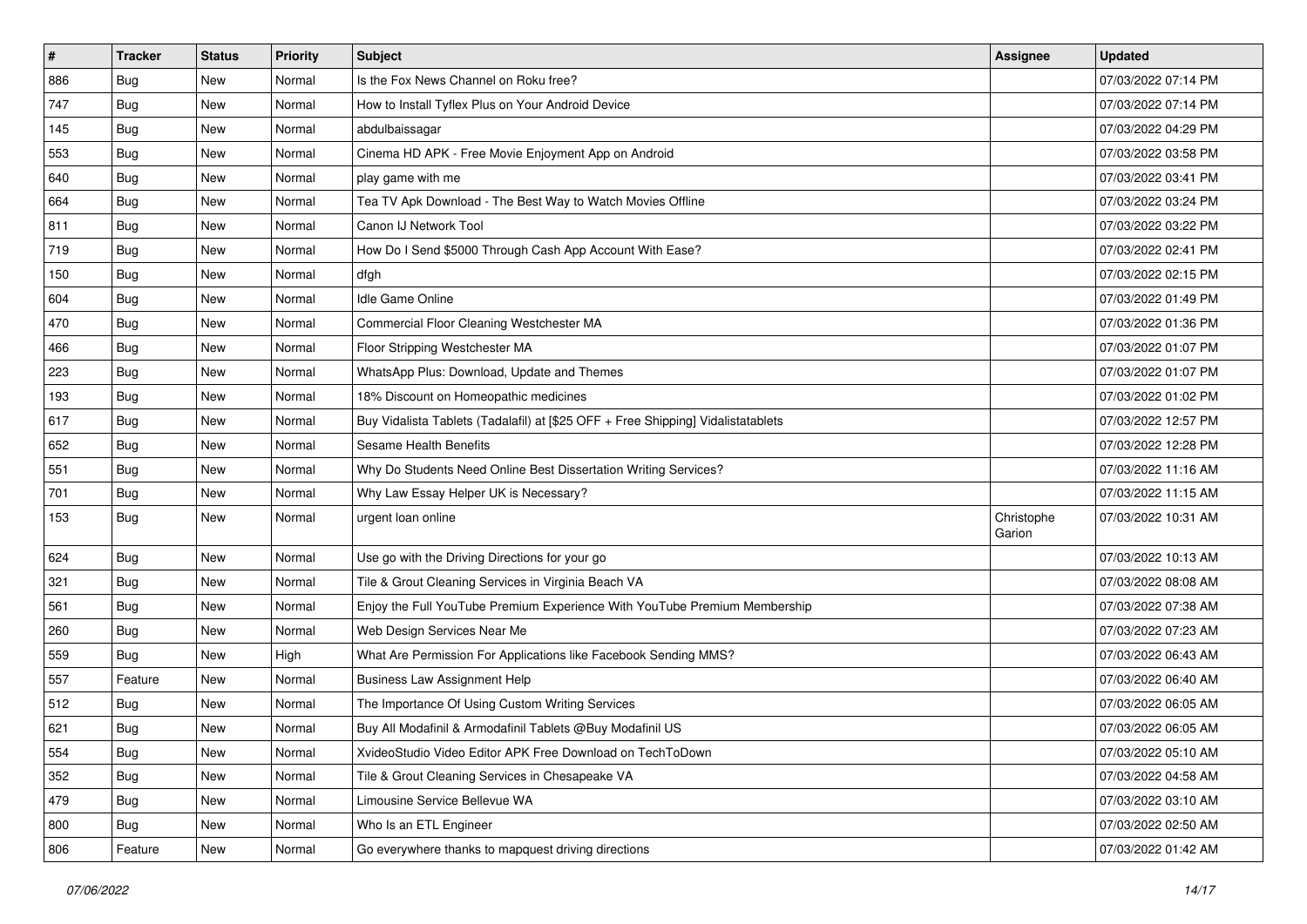| $\vert$ # | <b>Tracker</b> | <b>Status</b> | <b>Priority</b> | <b>Subject</b>                                                                   | <b>Assignee</b>      | <b>Updated</b>      |
|-----------|----------------|---------------|-----------------|----------------------------------------------------------------------------------|----------------------|---------------------|
| 886       | Bug            | New           | Normal          | Is the Fox News Channel on Roku free?                                            |                      | 07/03/2022 07:14 PM |
| 747       | Bug            | <b>New</b>    | Normal          | How to Install Tyflex Plus on Your Android Device                                |                      | 07/03/2022 07:14 PM |
| 145       | <b>Bug</b>     | New           | Normal          | abdulbaissagar                                                                   |                      | 07/03/2022 04:29 PM |
| 553       | <b>Bug</b>     | New           | Normal          | Cinema HD APK - Free Movie Enjoyment App on Android                              |                      | 07/03/2022 03:58 PM |
| 640       | Bug            | New           | Normal          | play game with me                                                                |                      | 07/03/2022 03:41 PM |
| 664       | <b>Bug</b>     | New           | Normal          | Tea TV Apk Download - The Best Way to Watch Movies Offline                       |                      | 07/03/2022 03:24 PM |
| 811       | <b>Bug</b>     | New           | Normal          | Canon IJ Network Tool                                                            |                      | 07/03/2022 03:22 PM |
| 719       | <b>Bug</b>     | New           | Normal          | How Do I Send \$5000 Through Cash App Account With Ease?                         |                      | 07/03/2022 02:41 PM |
| 150       | <b>Bug</b>     | New           | Normal          | dfgh                                                                             |                      | 07/03/2022 02:15 PM |
| 604       | Bug            | New           | Normal          | Idle Game Online                                                                 |                      | 07/03/2022 01:49 PM |
| 470       | Bug            | New           | Normal          | Commercial Floor Cleaning Westchester MA                                         |                      | 07/03/2022 01:36 PM |
| 466       | <b>Bug</b>     | New           | Normal          | Floor Stripping Westchester MA                                                   |                      | 07/03/2022 01:07 PM |
| 223       | <b>Bug</b>     | New           | Normal          | WhatsApp Plus: Download, Update and Themes                                       |                      | 07/03/2022 01:07 PM |
| 193       | <b>Bug</b>     | New           | Normal          | 18% Discount on Homeopathic medicines                                            |                      | 07/03/2022 01:02 PM |
| 617       | Bug            | New           | Normal          | Buy Vidalista Tablets (Tadalafil) at [\$25 OFF + Free Shipping] Vidalistatablets |                      | 07/03/2022 12:57 PM |
| 652       | <b>Bug</b>     | New           | Normal          | Sesame Health Benefits                                                           |                      | 07/03/2022 12:28 PM |
| 551       | <b>Bug</b>     | New           | Normal          | Why Do Students Need Online Best Dissertation Writing Services?                  |                      | 07/03/2022 11:16 AM |
| 701       | Bug            | New           | Normal          | Why Law Essay Helper UK is Necessary?                                            |                      | 07/03/2022 11:15 AM |
| 153       | <b>Bug</b>     | New           | Normal          | urgent loan online                                                               | Christophe<br>Garion | 07/03/2022 10:31 AM |
| 624       | Bug            | New           | Normal          | Use go with the Driving Directions for your go                                   |                      | 07/03/2022 10:13 AM |
| 321       | Bug            | New           | Normal          | Tile & Grout Cleaning Services in Virginia Beach VA                              |                      | 07/03/2022 08:08 AM |
| 561       | Bug            | New           | Normal          | Enjoy the Full YouTube Premium Experience With YouTube Premium Membership        |                      | 07/03/2022 07:38 AM |
| 260       | <b>Bug</b>     | New           | Normal          | Web Design Services Near Me                                                      |                      | 07/03/2022 07:23 AM |
| 559       | Bug            | New           | High            | What Are Permission For Applications like Facebook Sending MMS?                  |                      | 07/03/2022 06:43 AM |
| 557       | Feature        | New           | Normal          | <b>Business Law Assignment Help</b>                                              |                      | 07/03/2022 06:40 AM |
| 512       | Bug            | New           | Normal          | The Importance Of Using Custom Writing Services                                  |                      | 07/03/2022 06:05 AM |
| 621       | <b>Bug</b>     | New           | Normal          | Buy All Modafinil & Armodafinil Tablets @Buy Modafinil US                        |                      | 07/03/2022 06:05 AM |
| 554       | <b>Bug</b>     | New           | Normal          | XvideoStudio Video Editor APK Free Download on TechToDown                        |                      | 07/03/2022 05:10 AM |
| 352       | Bug            | New           | Normal          | Tile & Grout Cleaning Services in Chesapeake VA                                  |                      | 07/03/2022 04:58 AM |
| 479       | Bug            | New           | Normal          | Limousine Service Bellevue WA                                                    |                      | 07/03/2022 03:10 AM |
| 800       | <b>Bug</b>     | New           | Normal          | Who Is an ETL Engineer                                                           |                      | 07/03/2022 02:50 AM |
| 806       | Feature        | New           | Normal          | Go everywhere thanks to mapquest driving directions                              |                      | 07/03/2022 01:42 AM |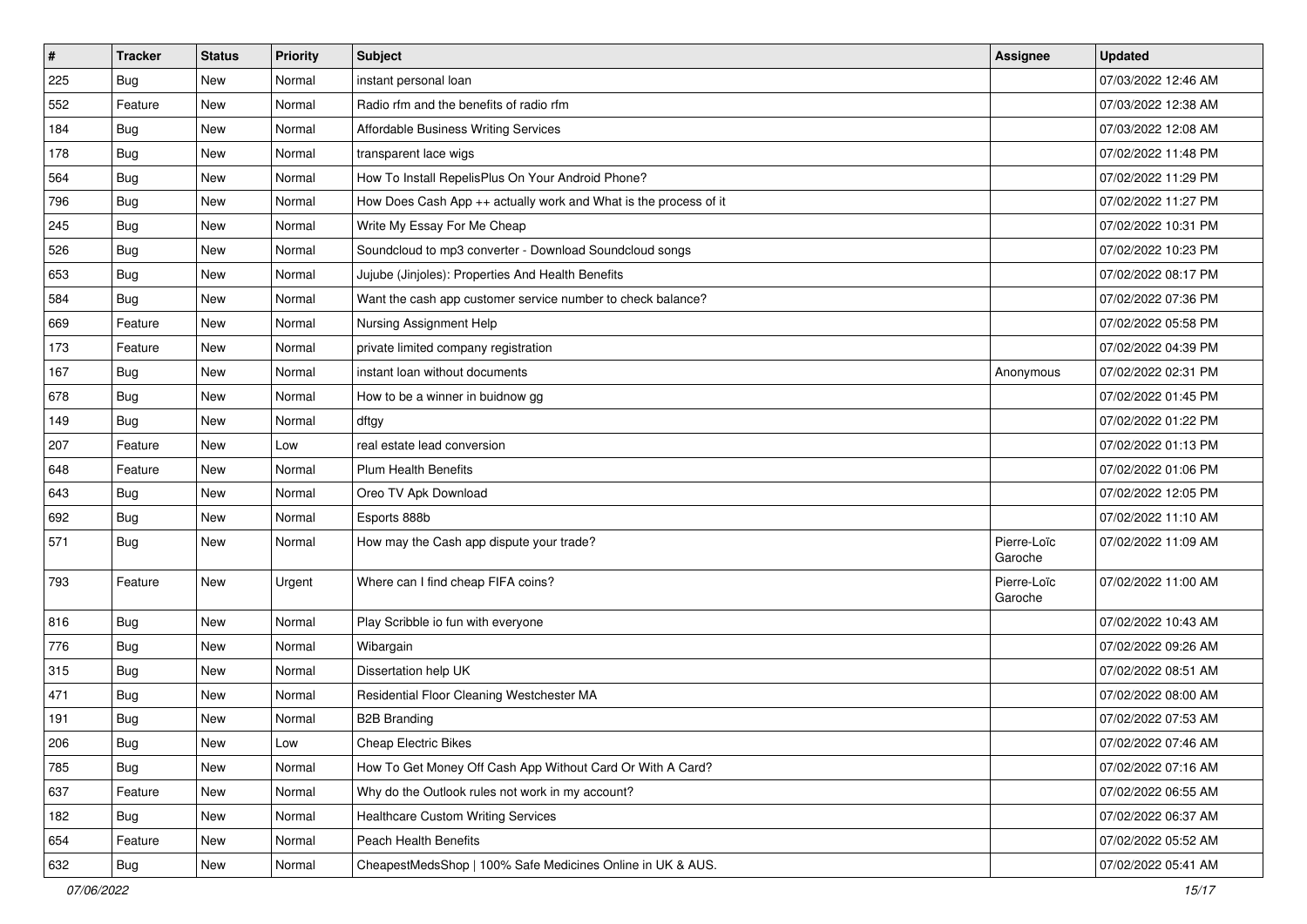| $\sharp$ | <b>Tracker</b> | <b>Status</b> | <b>Priority</b> | Subject                                                          | <b>Assignee</b>        | <b>Updated</b>      |
|----------|----------------|---------------|-----------------|------------------------------------------------------------------|------------------------|---------------------|
| 225      | <b>Bug</b>     | New           | Normal          | instant personal loan                                            |                        | 07/03/2022 12:46 AM |
| 552      | Feature        | New           | Normal          | Radio rfm and the benefits of radio rfm                          |                        | 07/03/2022 12:38 AM |
| 184      | Bug            | New           | Normal          | Affordable Business Writing Services                             |                        | 07/03/2022 12:08 AM |
| 178      | <b>Bug</b>     | New           | Normal          | transparent lace wigs                                            |                        | 07/02/2022 11:48 PM |
| 564      | Bug            | New           | Normal          | How To Install RepelisPlus On Your Android Phone?                |                        | 07/02/2022 11:29 PM |
| 796      | <b>Bug</b>     | New           | Normal          | How Does Cash App ++ actually work and What is the process of it |                        | 07/02/2022 11:27 PM |
| 245      | Bug            | New           | Normal          | Write My Essay For Me Cheap                                      |                        | 07/02/2022 10:31 PM |
| 526      | <b>Bug</b>     | New           | Normal          | Soundcloud to mp3 converter - Download Soundcloud songs          |                        | 07/02/2022 10:23 PM |
| 653      | <b>Bug</b>     | <b>New</b>    | Normal          | Jujube (Jinjoles): Properties And Health Benefits                |                        | 07/02/2022 08:17 PM |
| 584      | Bug            | <b>New</b>    | Normal          | Want the cash app customer service number to check balance?      |                        | 07/02/2022 07:36 PM |
| 669      | Feature        | New           | Normal          | Nursing Assignment Help                                          |                        | 07/02/2022 05:58 PM |
| 173      | Feature        | New           | Normal          | private limited company registration                             |                        | 07/02/2022 04:39 PM |
| 167      | Bug            | New           | Normal          | instant loan without documents                                   | Anonymous              | 07/02/2022 02:31 PM |
| 678      | <b>Bug</b>     | New           | Normal          | How to be a winner in buidnow gg                                 |                        | 07/02/2022 01:45 PM |
| 149      | Bug            | <b>New</b>    | Normal          | dftgy                                                            |                        | 07/02/2022 01:22 PM |
| 207      | Feature        | New           | Low             | real estate lead conversion                                      |                        | 07/02/2022 01:13 PM |
| 648      | Feature        | New           | Normal          | <b>Plum Health Benefits</b>                                      |                        | 07/02/2022 01:06 PM |
| 643      | Bug            | New           | Normal          | Oreo TV Apk Download                                             |                        | 07/02/2022 12:05 PM |
| 692      | <b>Bug</b>     | New           | Normal          | Esports 888b                                                     |                        | 07/02/2022 11:10 AM |
| 571      | <b>Bug</b>     | <b>New</b>    | Normal          | How may the Cash app dispute your trade?                         | Pierre-Loïc<br>Garoche | 07/02/2022 11:09 AM |
| 793      | Feature        | New           | Urgent          | Where can I find cheap FIFA coins?                               | Pierre-Loïc<br>Garoche | 07/02/2022 11:00 AM |
| 816      | Bug            | New           | Normal          | Play Scribble io fun with everyone                               |                        | 07/02/2022 10:43 AM |
| 776      | <b>Bug</b>     | New           | Normal          | Wibargain                                                        |                        | 07/02/2022 09:26 AM |
| 315      | Bug            | <b>New</b>    | Normal          | Dissertation help UK                                             |                        | 07/02/2022 08:51 AM |
| 471      | <b>Bug</b>     | New           | Normal          | Residential Floor Cleaning Westchester MA                        |                        | 07/02/2022 08:00 AM |
| 191      | <b>Bug</b>     | New           | Normal          | <b>B2B Branding</b>                                              |                        | 07/02/2022 07:53 AM |
| 206      | Bug            | New           | Low             | Cheap Electric Bikes                                             |                        | 07/02/2022 07:46 AM |
| 785      | <b>Bug</b>     | New           | Normal          | How To Get Money Off Cash App Without Card Or With A Card?       |                        | 07/02/2022 07:16 AM |
| 637      | Feature        | New           | Normal          | Why do the Outlook rules not work in my account?                 |                        | 07/02/2022 06:55 AM |
| 182      | <b>Bug</b>     | New           | Normal          | Healthcare Custom Writing Services                               |                        | 07/02/2022 06:37 AM |
| 654      | Feature        | New           | Normal          | Peach Health Benefits                                            |                        | 07/02/2022 05:52 AM |
| 632      | <b>Bug</b>     | New           | Normal          | CheapestMedsShop   100% Safe Medicines Online in UK & AUS.       |                        | 07/02/2022 05:41 AM |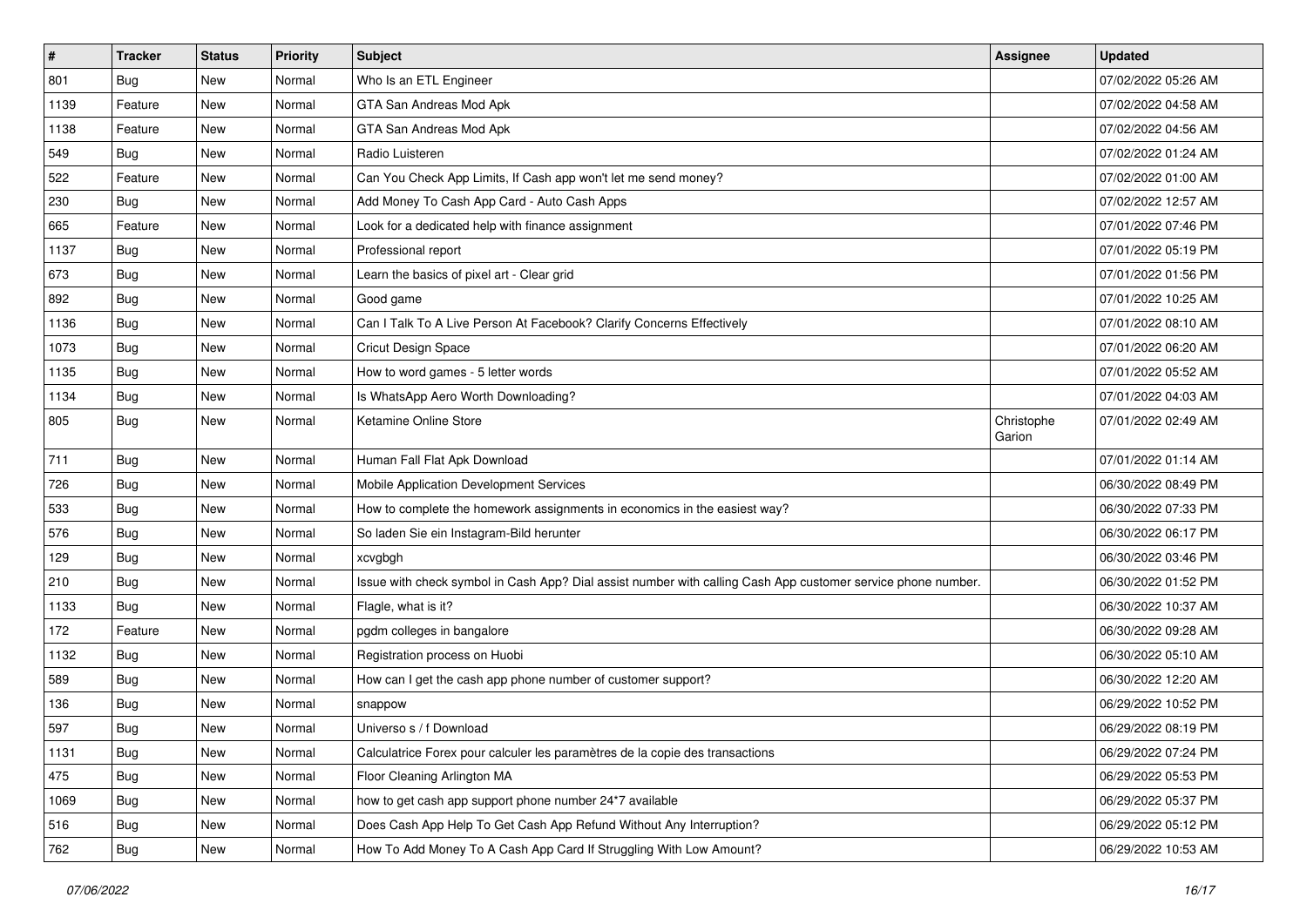| $\vert$ # | <b>Tracker</b> | <b>Status</b> | <b>Priority</b> | Subject                                                                                                      | <b>Assignee</b>      | <b>Updated</b>      |
|-----------|----------------|---------------|-----------------|--------------------------------------------------------------------------------------------------------------|----------------------|---------------------|
| 801       | <b>Bug</b>     | New           | Normal          | Who Is an ETL Engineer                                                                                       |                      | 07/02/2022 05:26 AM |
| 1139      | Feature        | New           | Normal          | GTA San Andreas Mod Apk                                                                                      |                      | 07/02/2022 04:58 AM |
| 1138      | Feature        | New           | Normal          | GTA San Andreas Mod Apk                                                                                      |                      | 07/02/2022 04:56 AM |
| 549       | <b>Bug</b>     | New           | Normal          | Radio Luisteren                                                                                              |                      | 07/02/2022 01:24 AM |
| 522       | Feature        | New           | Normal          | Can You Check App Limits, If Cash app won't let me send money?                                               |                      | 07/02/2022 01:00 AM |
| 230       | <b>Bug</b>     | New           | Normal          | Add Money To Cash App Card - Auto Cash Apps                                                                  |                      | 07/02/2022 12:57 AM |
| 665       | Feature        | New           | Normal          | Look for a dedicated help with finance assignment                                                            |                      | 07/01/2022 07:46 PM |
| 1137      | Bug            | New           | Normal          | Professional report                                                                                          |                      | 07/01/2022 05:19 PM |
| 673       | <b>Bug</b>     | New           | Normal          | Learn the basics of pixel art - Clear grid                                                                   |                      | 07/01/2022 01:56 PM |
| 892       | Bug            | New           | Normal          | Good game                                                                                                    |                      | 07/01/2022 10:25 AM |
| 1136      | <b>Bug</b>     | New           | Normal          | Can I Talk To A Live Person At Facebook? Clarify Concerns Effectively                                        |                      | 07/01/2022 08:10 AM |
| 1073      | <b>Bug</b>     | New           | Normal          | <b>Cricut Design Space</b>                                                                                   |                      | 07/01/2022 06:20 AM |
| 1135      | Bug            | New           | Normal          | How to word games - 5 letter words                                                                           |                      | 07/01/2022 05:52 AM |
| 1134      | <b>Bug</b>     | New           | Normal          | Is WhatsApp Aero Worth Downloading?                                                                          |                      | 07/01/2022 04:03 AM |
| 805       | Bug            | New           | Normal          | Ketamine Online Store                                                                                        | Christophe<br>Garion | 07/01/2022 02:49 AM |
| 711       | Bug            | New           | Normal          | Human Fall Flat Apk Download                                                                                 |                      | 07/01/2022 01:14 AM |
| 726       | Bug            | New           | Normal          | Mobile Application Development Services                                                                      |                      | 06/30/2022 08:49 PM |
| 533       | Bug            | New           | Normal          | How to complete the homework assignments in economics in the easiest way?                                    |                      | 06/30/2022 07:33 PM |
| 576       | <b>Bug</b>     | New           | Normal          | So laden Sie ein Instagram-Bild herunter                                                                     |                      | 06/30/2022 06:17 PM |
| 129       | Bug            | <b>New</b>    | Normal          | xcvgbgh                                                                                                      |                      | 06/30/2022 03:46 PM |
| 210       | Bug            | New           | Normal          | Issue with check symbol in Cash App? Dial assist number with calling Cash App customer service phone number. |                      | 06/30/2022 01:52 PM |
| 1133      | Bug            | New           | Normal          | Flagle, what is it?                                                                                          |                      | 06/30/2022 10:37 AM |
| 172       | Feature        | New           | Normal          | pgdm colleges in bangalore                                                                                   |                      | 06/30/2022 09:28 AM |
| 1132      | <b>Bug</b>     | New           | Normal          | Registration process on Huobi                                                                                |                      | 06/30/2022 05:10 AM |
| 589       | <b>Bug</b>     | New           | Normal          | How can I get the cash app phone number of customer support?                                                 |                      | 06/30/2022 12:20 AM |
| 136       | <b>Bug</b>     | New           | Normal          | snappow                                                                                                      |                      | 06/29/2022 10:52 PM |
| 597       | <b>Bug</b>     | New           | Normal          | Universo s / f Download                                                                                      |                      | 06/29/2022 08:19 PM |
| 1131      | <b>Bug</b>     | New           | Normal          | Calculatrice Forex pour calculer les paramètres de la copie des transactions                                 |                      | 06/29/2022 07:24 PM |
| 475       | <b>Bug</b>     | New           | Normal          | Floor Cleaning Arlington MA                                                                                  |                      | 06/29/2022 05:53 PM |
| 1069      | Bug            | New           | Normal          | how to get cash app support phone number 24*7 available                                                      |                      | 06/29/2022 05:37 PM |
| 516       | <b>Bug</b>     | New           | Normal          | Does Cash App Help To Get Cash App Refund Without Any Interruption?                                          |                      | 06/29/2022 05:12 PM |
| 762       | <b>Bug</b>     | New           | Normal          | How To Add Money To A Cash App Card If Struggling With Low Amount?                                           |                      | 06/29/2022 10:53 AM |